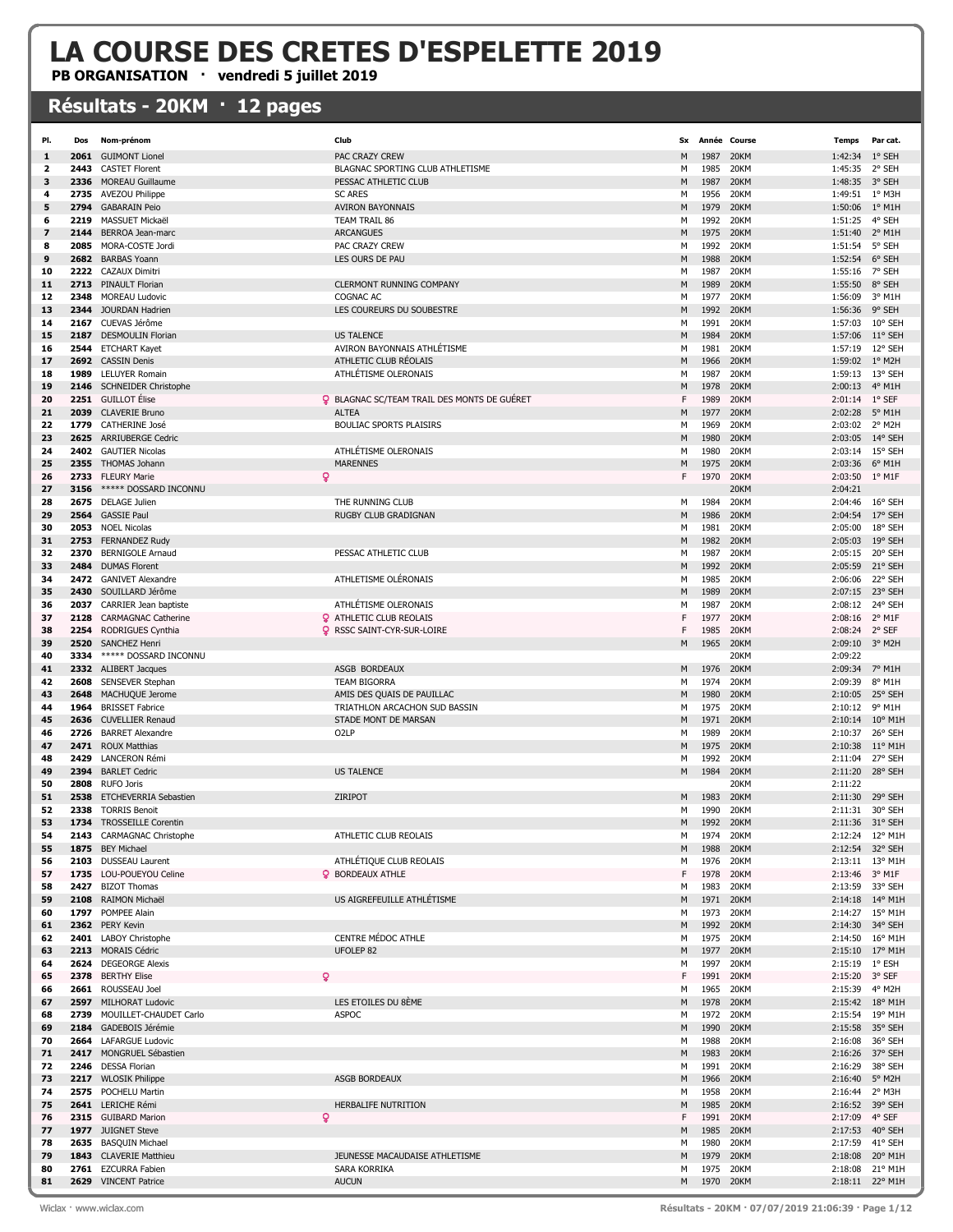## LA COURSE DES CRETES D'ESPELETTE 2019

PB ORGANISATION · vendredi 5 juillet 2019

## Résultats - 20KM · 12 pages

| PI.      | Dos  | Nom-prénom                                           | Club                                               | <b>Sx</b> |              | Année Course | Temps              | Par cat.                   |
|----------|------|------------------------------------------------------|----------------------------------------------------|-----------|--------------|--------------|--------------------|----------------------------|
| 1        |      | 2061 GUIMONT Lionel                                  | PAC CRAZY CREW                                     | M         | 1987         | 20KM         | 1:42:34 1° SEH     |                            |
| 2        | 2443 | <b>CASTET Florent</b>                                | BLAGNAC SPORTING CLUB ATHLETISME                   | м         | 1985         | 20KM         | 1:45:35 2° SEH     |                            |
| з        | 2336 | <b>MOREAU Guillaume</b>                              | PESSAC ATHLETIC CLUB                               | M         | 1987         | 20KM         | 1:48:35 3° SEH     |                            |
| 4        | 2735 | <b>AVEZOU Philippe</b>                               | <b>SC ARES</b>                                     | М         | 1956         | 20KM         | 1:49:51 1° M3H     |                            |
| 5        | 2794 | <b>GABARAIN Peio</b>                                 | <b>AVIRON BAYONNAIS</b>                            | M         | 1979         | 20KM         | 1:50:06            | $1^\circ$ M1H              |
| 6        | 2219 | MASSUET Mickaël                                      | TEAM TRAIL 86                                      | M         | 1992         | 20KM         | 1:51:25            | 4° SEH                     |
| 7        | 2144 | BERROA Jean-marc                                     | <b>ARCANGUES</b>                                   | M         | 1975         | 20KM         | 1:51:40            | $2^{\circ}$ M1H            |
| 8        | 2085 | MORA-COSTE Jordi                                     | PAC CRAZY CREW                                     | м         | 1992         | 20KM         | 1:51:54            | 5° SEH                     |
| 9        |      | 2682 BARBAS Yoann                                    | LES OURS DE PAU                                    | M         | 1988         | 20KM         | 1:52:54            | 6° SEH                     |
| 10       |      | 2222 CAZAUX Dimitri                                  |                                                    | м         | 1987         | 20KM         | 1:55:16            | 7° SEH                     |
| 11       |      | 2713 PINAULT Florian                                 | <b>CLERMONT RUNNING COMPANY</b>                    | M         | 1989         | 20KM         | 1:55:50            | 8° SEH                     |
| 12       | 2348 | <b>MOREAU Ludovic</b>                                | <b>COGNAC AC</b>                                   | М         | 1977         | 20KM         | 1:56:09            | 3° M1H                     |
| 13       |      | 2344 JOURDAN Hadrien                                 | LES COUREURS DU SOUBESTRE                          | M         | 1992         | 20KM         | 1:56:36            | 9° SEH                     |
| 14       |      | 2167 CUEVAS Jérôme                                   |                                                    | M         | 1991         | 20KM         | 1:57:03            | 10° SEH                    |
| 15       | 2187 | <b>DESMOULIN Florian</b>                             | <b>US TALENCE</b>                                  | M         | 1984         | 20KM         | 1:57:06            | 11° SEH                    |
| 16       |      | 2544 ETCHART Kayet                                   | AVIRON BAYONNAIS ATHLÉTISME                        | м         | 1981         | 20KM         | 1:57:19            | 12° SEH                    |
| 17       |      | 2692 CASSIN Denis                                    | ATHLETIC CLUB RÉOLAIS                              | M         | 1966         | 20KM         | 1:59:02 1° M2H     |                            |
| 18       |      | 1989 LELUYER Romain                                  | ATHLÉTISME OLERONAIS                               | м         | 1987         | 20KM         | 1:59:13 13° SEH    |                            |
| 19       |      | 2146 SCHNEIDER Christophe                            |                                                    | M         | 1978         | 20KM         | 2:00:13            | 4° M1H                     |
| 20       |      | 2251 GUILLOT Élise                                   | <b>Q</b> BLAGNAC SC/TEAM TRAIL DES MONTS DE GUÉRET | F         | 1989         | 20KM         | 2:01:14 1° SEF     |                            |
| 21       |      | 2039 CLAVERIE Bruno                                  | <b>ALTEA</b>                                       | M         | 1977         | 20KM         | 2:02:28            | $5^{\circ}$ M1H            |
| 22       |      | 1779 CATHERINE José                                  | <b>BOULIAC SPORTS PLAISIRS</b>                     | M         | 1969         | 20KM         | 2:03:02            | 2° M2H                     |
| 23       | 2625 | <b>ARRIUBERGE Cedric</b>                             |                                                    | M         | 1980         | 20KM         | 2:03:05            | 14° SEH                    |
| 24       |      | 2402 GAUTIER Nicolas                                 | ATHLÉTISME OLERONAIS                               | м         | 1980         | 20KM         | 2:03:14            | 15° SEH                    |
| 25       |      | 2355 THOMAS Johann                                   | <b>MARENNES</b>                                    | M         | 1975         | 20KM         | 2:03:36            | 6° M1H                     |
| 26       |      | Q<br>2733 FLEURY Marie                               |                                                    | F         | 1970         | 20KM         | 2:03:50            | $1^{\circ}$ M1F            |
| 27       | 3156 | ***** DOSSARD INCONNU                                |                                                    |           |              | 20KM         | 2:04:21            |                            |
| 28       |      | 2675 DELAGE Julien                                   | THE RUNNING CLUB                                   | м         | 1984         | 20KM         | 2:04:46            | 16° SEH                    |
| 29       | 2564 | <b>GASSIE Paul</b>                                   | RUGBY CLUB GRADIGNAN                               | M         | 1986         | 20KM         | 2:04:54            | 17° SEH                    |
| 30       |      | 2053 NOEL Nicolas                                    |                                                    | M         | 1981         | 20KM         | 2:05:00            | 18° SEH                    |
| 31       |      | 2753 FERNANDEZ Rudy                                  |                                                    | M         | 1982         | 20KM         | 2:05:03            | 19° SEH                    |
| 32       | 2370 | <b>BERNIGOLE Arnaud</b>                              | PESSAC ATHLETIC CLUB                               | м         | 1987         | 20KM         | 2:05:15            | 20° SEH                    |
| 33       |      | 2484 DUMAS Florent                                   |                                                    | M         | 1992         | 20KM         | 2:05:59            | 21° SEH                    |
| 34       |      | 2472 GANIVET Alexandre                               | ATHLETISME OLÉRONAIS                               | м         | 1985         | 20KM         | 2:06:06            | 22° SEH                    |
| 35       |      | 2430 SOUILLARD Jérôme                                |                                                    | M         | 1989         | 20KM         | 2:07:15            | 23° SEH                    |
| 36       |      | 2037 CARRIER Jean baptiste                           | ATHLÉTISME OLERONAIS                               | М         | 1987         | 20KM         | 2:08:12            | 24° SEH                    |
| 37       | 2128 | <b>CARMAGNAC Catherine</b>                           | <b>Q</b> ATHLETIC CLUB REOLAIS                     | F<br>F    | 1977         | 20KM         | 2:08:16            | $2^{\circ}$ M1F            |
| 38       |      | 2254 RODRIGUES Cynthia                               | <b>Q</b> RSSC SAINT-CYR-SUR-LOIRE                  |           | 1985<br>1965 | 20KM         | 2:08:24 2° SEF     | 3° M2H                     |
| 39       |      | 2520 SANCHEZ Henri                                   |                                                    | M         |              | 20KM         | 2:09:10            |                            |
| 40<br>41 | 3334 | ***** DOSSARD INCONNU<br>2332 ALIBERT Jacques        | ASGB BORDEAUX                                      | M         | 1976         | 20KM<br>20KM | 2:09:22<br>2:09:34 | 7° M1H                     |
| 42       | 2608 | SENSEVER Stephan                                     | <b>TEAM BIGORRA</b>                                | м         | 1974         | 20KM         | 2:09:39            | 8° M1H                     |
| 43       | 2648 | MACHUQUE Jerome                                      | AMIS DES QUAIS DE PAUILLAC                         | M         | 1980         | 20KM         | 2:10:05            | 25° SEH                    |
| 44       | 1964 | <b>BRISSET Fabrice</b>                               | TRIATHLON ARCACHON SUD BASSIN                      | М         | 1975         | 20KM         | 2:10:12            | 9° M1H                     |
| 45       | 2636 | <b>CUVELLIER Renaud</b>                              | STADE MONT DE MARSAN                               | M         | 1971         | 20KM         | 2:10:14            | $10^{\circ}$ M1H           |
| 46       | 2726 | <b>BARRET Alexandre</b>                              | O <sub>2</sub> LP                                  | M         | 1989         | 20KM         | 2:10:37            | 26° SEH                    |
| 47       | 2471 | <b>ROUX Matthias</b>                                 |                                                    | M         | 1975         | 20KM         | 2:10:38            | $11^{\circ}$ M1H           |
| 48       | 2429 | <b>LANCERON Rémi</b>                                 |                                                    | м         | 1992         | 20KM         | 2:11:04            | 27° SEH                    |
| 49       |      | 2394 BARLET Cedric                                   | <b>US TALENCE</b>                                  | M         | 1984         | 20KM         | 2:11:20            | 28° SEH                    |
| 50       | 2808 | <b>RUFO Joris</b>                                    |                                                    |           |              | 20KM         | 2:11:22            |                            |
| 51       | 2538 | ETCHEVERRIA Sebastien                                | ZIRIPOT                                            | M         | 1983         | 20KM         | 2:11:30            | 29° SEH                    |
| 52       | 2338 | <b>TORRIS Benoit</b>                                 |                                                    | M         | 1990         | 20KM         | 2:11:31            | 30° SEH                    |
| 53       |      | 1734 TROSSEILLE Corentin                             |                                                    | M         | 1992         | 20KM         |                    | 2:11:36 31° SEH            |
| 54       |      | 2143 CARMAGNAC Christophe                            | ATHLETIC CLUB REOLAIS                              | м         | 1974         | 20KM         |                    | 2:12:24 12° M1H            |
| 55       |      | 1875 BEY Michael                                     |                                                    | M         | 1988         | 20KM         |                    | 2:12:54 32° SEH            |
| 56       |      | 2103 DUSSEAU Laurent                                 | ATHLÉTIQUE CLUB REOLAIS                            | М         | 1976         | 20KM         |                    | 2:13:11 13° M1H            |
| 57       |      | 1735 LOU-POUEYOU Celine                              | <b>Q</b> BORDEAUX ATHLE                            | F         | 1978         | 20KM         | 2:13:46 3° M1F     |                            |
| 58       |      | 2427 BIZOT Thomas                                    |                                                    | М         | 1983         | 20KM         |                    | 2:13:59 33° SEH            |
| 59       |      | 2108 RAIMON Michaël                                  | US AIGREFEUILLE ATHLETISME                         | M         | 1971         | 20KM         |                    | 2:14:18 14° M1H            |
| 60       |      | 1797 POMPEE Alain                                    |                                                    | м         | 1973         | 20KM         | 2:14:27            | 15° M1H                    |
| 61       |      | 2362 PERY Kevin                                      |                                                    | M         | 1992         | 20KM         |                    | 2:14:30 34° SEH            |
| 62       |      | 2401 LABOY Christophe                                | CENTRE MÉDOC ATHLE                                 | м         | 1975         | 20KM         |                    | 2:14:50 16° M1H            |
| 63       |      | 2213 MORAIS Cédric                                   | UFOLEP <sub>82</sub>                               | M         | 1977         | 20KM         |                    | 2:15:10 17° M1H            |
| 64       |      | 2624 DEGEORGE Alexis                                 |                                                    | М         | 1997         | 20KM         | 2:15:19 1° ESH     |                            |
| 65       |      | ò<br>2378 BERTHY Elise                               |                                                    | F         | 1991         | 20KM         | 2:15:20 3° SEF     |                            |
| 66       |      | 2661 ROUSSEAU Joel                                   | LES ETOILES DU 8ÈME                                | М         | 1965         | 20KM         | 2:15:39 4° M2H     |                            |
| 67       |      | 2597 MILHORAT Ludovic                                | <b>ASPOC</b>                                       | M         | 1978<br>1972 | 20KM<br>20KM |                    | 2:15:42 18° M1H            |
| 68<br>69 |      | 2739 MOUILLET-CHAUDET Carlo<br>2184 GADEBOIS Jérémie |                                                    | м<br>M    | 1990         | 20KM         | 2:15:54            | 19° M1H<br>2:15:58 35° SEH |
| 70       |      | 2664 LAFARGUE Ludovic                                |                                                    | м         | 1988         | 20KM         |                    | 2:16:08 36° SEH            |
| 71       |      | 2417 MONGRUEL Sébastien                              |                                                    | M         | 1983         | 20KM         |                    | 2:16:26 37° SEH            |
| 72       |      | 2246 DESSA Florian                                   |                                                    | м         | 1991         | 20KM         | 2:16:29            | 38° SEH                    |
| 73       |      | 2217 WLOSIK Philippe                                 | <b>ASGB BORDEAUX</b>                               | M         | 1966         | 20KM         | 2:16:40 5° M2H     |                            |
| 74       |      | 2575 POCHELU Martin                                  |                                                    | м         | 1958         | 20KM         | 2:16:44 2° M3H     |                            |
| 75       |      | 2641 LERICHE Rémi                                    | HERBALIFE NUTRITION                                | M         | 1985         | 20KM         |                    | 2:16:52 39° SEH            |
| 76       |      | ò<br>2315 GUIBARD Marion                             |                                                    | F         | 1991         | 20KM         | 2:17:09            | 4° SEF                     |
| 77       |      | 1977 JUIGNET Steve                                   |                                                    | М         | 1985         | 20KM         |                    | 2:17:53 40° SEH            |
| 78       |      | 2635 BASQUIN Michael                                 |                                                    | м         | 1980         | 20KM         |                    | 2:17:59 41° SEH            |
| 79       |      | 1843 CLAVERIE Matthieu                               | JEUNESSE MACAUDAISE ATHLETISME                     | M         | 1979         | 20KM         | 2:18:08            | 20° M1H                    |
| 80       | 2761 | <b>EZCURRA Fabien</b>                                | SARA KORRIKA                                       | м         | 1975         | 20KM         | 2:18:08            | 21° M1H                    |
| 81       |      | 2629 VINCENT Patrice                                 | <b>AUCUN</b>                                       | M         | 1970 20KM    |              |                    | 2:18:11 22° M1H            |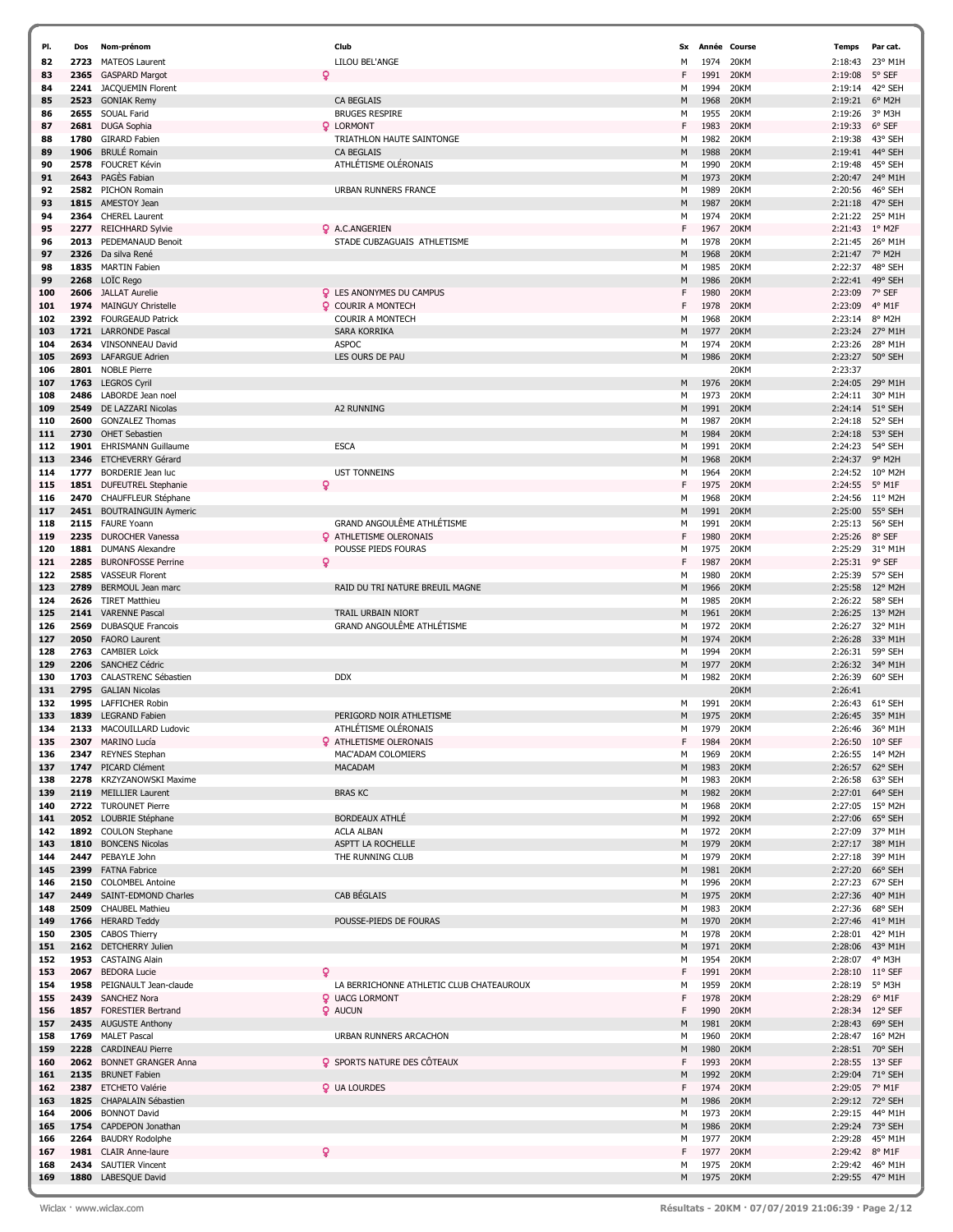| PI. | Dos  | Nom-prénom                  |   | Club                                     | Sx | Année     | Course      | Temps           | Par cat.                             |
|-----|------|-----------------------------|---|------------------------------------------|----|-----------|-------------|-----------------|--------------------------------------|
| 82  |      | 2723 MATEOS Laurent         |   | LILOU BEL'ANGE                           | М  | 1974      | 20KM        | 2:18:43         | 23° M1H                              |
|     |      |                             |   |                                          |    |           |             |                 |                                      |
| 83  | 2365 | <b>GASPARD Margot</b>       | Q |                                          | F  | 1991      | 20KM        | 2:19:08         | 5° SEF                               |
| 84  | 2241 | JACQUEMIN Florent           |   |                                          | M  | 1994      | 20KM        | 2:19:14         | 42° SEH                              |
| 85  | 2523 | <b>GONIAK Remy</b>          |   | <b>CA BEGLAIS</b>                        | M  | 1968      | 20KM        | 2:19:21         | 6° M2H                               |
| 86  |      | 2655 SOUAL Farid            |   | <b>BRUGES RESPIRE</b>                    | М  | 1955      | 20KM        | 2:19:26         | 3° M3H                               |
| 87  | 2681 | <b>DUGA Sophia</b>          |   | <b>Q</b> LORMONT                         | F  | 1983      | 20KM        | 2:19:33         | 6° SEF                               |
| 88  | 1780 | <b>GIRARD Fabien</b>        |   | TRIATHLON HAUTE SAINTONGE                | M  | 1982      | 20KM        | 2:19:38         | 43° SEH                              |
|     |      |                             |   |                                          |    |           |             |                 |                                      |
| 89  | 1906 | <b>BRULÉ Romain</b>         |   | <b>CA BEGLAIS</b>                        | M  | 1988      | 20KM        | 2:19:41         | 44° SEH                              |
| 90  | 2578 | <b>FOUCRET Kévin</b>        |   | ATHLÉTISME OLÉRONAIS                     | М  | 1990      | 20KM        | 2:19:48         | 45° SEH                              |
| 91  |      | 2643 PAGÈS Fabian           |   |                                          | M  | 1973      | 20KM        | 2:20:47         | 24° M1H                              |
| 92  |      | 2582 PICHON Romain          |   | <b>URBAN RUNNERS FRANCE</b>              | M  | 1989      | 20KM        | 2:20:56         | 46° SEH                              |
| 93  |      | 1815 AMESTOY Jean           |   |                                          | M  | 1987      | 20KM        | 2:21:18         | 47° SEH                              |
|     |      |                             |   |                                          |    |           |             |                 |                                      |
| 94  |      | 2364 CHEREL Laurent         |   |                                          | М  | 1974      | 20KM        | 2:21:22         | 25° M1H                              |
| 95  | 2277 | <b>REICHHARD Sylvie</b>     |   | Q A.C.ANGERIEN                           | F  | 1967      | 20KM        | 2:21:43         | 1° M2F                               |
| 96  | 2013 | PEDEMANAUD Benoit           |   | STADE CUBZAGUAIS ATHLETISME              | M  | 1978      | 20KM        | 2:21:45         | 26° M1H                              |
| 97  |      | 2326 Da silva René          |   |                                          | M  | 1968      | 20KM        | 2:21:47         | 7° M2H                               |
| 98  | 1835 | <b>MARTIN Fabien</b>        |   |                                          | М  | 1985      | 20KM        | 2:22:37         | 48° SEH                              |
| 99  |      | 2268 LOIC Rego              |   |                                          | M  | 1986      | 20KM        | 2:22:41         | 49° SEH                              |
|     |      |                             |   |                                          |    |           |             |                 |                                      |
| 100 |      | 2606 JALLAT Aurelie         |   | <b>Q</b> LES ANONYMES DU CAMPUS          | F  | 1980      | 20KM        | 2:23:09         | 7° SEF                               |
| 101 | 1974 | <b>MAINGUY Christelle</b>   |   | <b>Q</b> COURIR A MONTECH                | F  | 1978      | 20KM        | 2:23:09         | 4° M1F                               |
| 102 |      | 2392 FOURGEAUD Patrick      |   | <b>COURIR A MONTECH</b>                  | M  | 1968      | 20KM        | 2:23:14         | 8° M2H                               |
| 103 |      | 1721 LARRONDE Pascal        |   | <b>SARA KORRIKA</b>                      | M  | 1977      | 20KM        | 2:23:24         | 27° M1H                              |
| 104 |      | 2634 VINSONNEAU David       |   | <b>ASPOC</b>                             | M  | 1974      | 20KM        | 2:23:26         | 28° M1H                              |
| 105 | 2693 | <b>LAFARGUE Adrien</b>      |   | LES OURS DE PAU                          | M  | 1986      | 20KM        | 2:23:27         | 50° SEH                              |
|     |      |                             |   |                                          |    |           |             |                 |                                      |
| 106 |      | 2801 NOBLE Pierre           |   |                                          |    |           | 20KM        | 2:23:37         |                                      |
| 107 |      | 1763 LEGROS Cyril           |   |                                          | M  | 1976      | 20KM        | 2:24:05         | 29° M1H                              |
| 108 | 2486 | LABORDE Jean noel           |   |                                          | M  | 1973      | 20KM        | 2:24:11         | 30° M1H                              |
| 109 | 2549 | DE LAZZARI Nicolas          |   | <b>A2 RUNNING</b>                        | M  | 1991      | 20KM        | 2:24:14         | 51° SEH                              |
| 110 | 2600 | <b>GONZALEZ Thomas</b>      |   |                                          | М  | 1987      | 20KM        | 2:24:18         | 52° SEH                              |
| 111 |      | 2730 OHET Sebastien         |   |                                          | M  | 1984      | 20KM        | 2:24:18         | 53° SEH                              |
|     | 1901 |                             |   |                                          |    |           |             |                 | 54° SEH                              |
| 112 |      | <b>EHRISMANN Guillaume</b>  |   | <b>ESCA</b>                              | M  | 1991      | 20KM        | 2:24:23         |                                      |
| 113 |      | 2346 ETCHEVERRY Gérard      |   |                                          | M  | 1968      | 20KM        | 2:24:37         | 9° M2H                               |
| 114 | 1777 | <b>BORDERIE Jean luc</b>    |   | <b>UST TONNEINS</b>                      | М  | 1964      | 20KM        | 2:24:52         | $10^{\circ}$ M <sub>2</sub> $\pm$    |
| 115 |      | 1851 DUFEUTREL Stephanie    | Q |                                          | F  | 1975      | 20KM        | 2:24:55         | 5° M1F                               |
| 116 | 2470 | CHAUFFLEUR Stéphane         |   |                                          | M  | 1968      | 20KM        | 2:24:56         | $11^{\circ}$ M <sub>2</sub> $\vdash$ |
| 117 | 2451 | <b>BOUTRAINGUIN Aymeric</b> |   |                                          | M  | 1991      | 20KM        | 2:25:00         | 55° SEH                              |
| 118 |      | 2115 FAURE Yoann            |   | GRAND ANGOULÊME ATHLÉTISME               | М  | 1991      | 20KM        | 2:25:13         | 56° SEH                              |
|     |      |                             |   |                                          |    |           |             |                 |                                      |
| 119 |      | 2235 DUROCHER Vanessa       |   | <b>Q</b> ATHLETISME OLERONAIS            | F  | 1980      | 20KM        | 2:25:26         | 8° SEF                               |
| 120 | 1881 | <b>DUMANS Alexandre</b>     |   | POUSSE PIEDS FOURAS                      | M  | 1975      | 20KM        | 2:25:29         | 31° M1H                              |
| 121 | 2285 | <b>BURONFOSSE Perrine</b>   | ó |                                          | F  | 1987      | 20KM        | 2:25:31         | 9° SEF                               |
| 122 | 2585 | <b>VASSEUR Florent</b>      |   |                                          | М  | 1980      | 20KM        | 2:25:39         | 57° SEH                              |
| 123 | 2789 | BERMOUL Jean marc           |   | RAID DU TRI NATURE BREUIL MAGNE          | M  | 1966      | 20KM        | 2:25:58         | 12° M2H                              |
| 124 | 2626 | <b>TIRET Matthieu</b>       |   |                                          | М  | 1985      | 20KM        | 2:26:22         | 58° SEH                              |
| 125 | 2141 | <b>VARENNE Pascal</b>       |   | TRAIL URBAIN NIORT                       | M  | 1961      | 20KM        | 2:26:25         | 13° M2H                              |
| 126 | 2569 | <b>DUBASQUE Francois</b>    |   | <b>GRAND ANGOULÊME ATHLÉTISME</b>        | М  | 1972      | 20KM        | 2:26:27         | 32° M1H                              |
|     |      |                             |   |                                          |    |           |             |                 | 33° M1H                              |
| 127 | 2050 | <b>FAORO Laurent</b>        |   |                                          | M  | 1974      | 20KM        | 2:26:28         |                                      |
| 128 |      | 2763 CAMBIER Loïck          |   |                                          | М  | 1994      | 20KM        | 2:26:31         | 59° SEH                              |
| 129 |      | 2206 SANCHEZ Cédric         |   |                                          | M  | 1977      | 20KM        | 2:26:32         | 34° M1H                              |
| 130 |      | 1703 CALASTRENC Sébastien   |   | <b>DDX</b>                               | М  | 1982      | 20KM        | 2:26:39         | 60° SEH                              |
| 131 |      | 2795 GALIAN Nicolas         |   |                                          |    |           | 20KM        | 2:26:41         |                                      |
| 132 | 1995 | <b>LAFFICHER Robin</b>      |   |                                          | М  | 1991      | 20KM        | 2:26:43         | 61° SEH                              |
| 133 |      | 1839 LEGRAND Fabien         |   | PERIGORD NOIR ATHLETISME                 | M  | 1975      | 20KM        | 2:26:45         | 35° M1H                              |
| 134 |      | 2133 MACOUILLARD Ludovic    |   | ATHLÉTISME OLÉRONAIS                     | M  | 1979      | 20KM        | 2:26:46         | 36° M1H                              |
|     |      |                             |   |                                          |    |           |             |                 |                                      |
| 135 |      | 2307 MARINO Lucia           |   | <b>Q</b> ATHLETISME OLERONAIS            |    | 1984      | <b>ZUKM</b> | 2:26:50         | $10^{\circ}$ SEF                     |
| 136 |      | 2347 REYNES Stephan         |   | MAC'ADAM COLOMIERS                       | М  | 1969      | 20KM        | 2:26:55 14° M2H |                                      |
| 137 |      | 1747 PICARD Clément         |   | <b>MACADAM</b>                           | M  | 1983      | 20KM        | 2:26:57         | 62° SEH                              |
| 138 |      | 2278 KRZYZANOWSKI Maxime    |   |                                          | М  | 1983      | 20KM        | 2:26:58         | 63° SEH                              |
| 139 |      | 2119 MEILLIER Laurent       |   | <b>BRAS KC</b>                           | M  | 1982      | 20KM        | 2:27:01         | 64° SEH                              |
| 140 |      | 2722 TUROUNET Pierre        |   |                                          | М  | 1968      | 20KM        | 2:27:05         | 15° M2H                              |
| 141 |      | 2052 LOUBRIE Stéphane       |   | <b>BORDEAUX ATHLE</b>                    | M  | 1992      | 20KM        | 2:27:06         | 65° SEH                              |
|     |      |                             |   |                                          |    |           |             |                 | 37° M1H                              |
| 142 |      | 1892 COULON Stephane        |   | <b>ACLA ALBAN</b>                        | М  | 1972      | 20KM        | 2:27:09         |                                      |
| 143 |      | 1810 BONCENS Nicolas        |   | ASPTT LA ROCHELLE                        | M  | 1979      | 20KM        | 2:27:17         | 38° M1H                              |
| 144 |      | 2447 PEBAYLE John           |   | THE RUNNING CLUB                         | М  | 1979      | 20KM        | 2:27:18         | 39° M1H                              |
| 145 |      | 2399 FATNA Fabrice          |   |                                          | M  | 1981      | 20KM        | 2:27:20         | 66° SEH                              |
| 146 |      | 2150 COLOMBEL Antoine       |   |                                          | М  | 1996      | 20KM        | 2:27:23         | 67° SEH                              |
| 147 |      | 2449 SAINT-EDMOND Charles   |   | CAB BÉGLAIS                              | M  | 1975      | 20KM        | 2:27:36         | 40° M1H                              |
| 148 |      | 2509 CHAUBEL Mathieu        |   |                                          | М  | 1983      | 20KM        | 2:27:36         | 68° SEH                              |
|     |      |                             |   | POUSSE-PIEDS DE FOURAS                   |    | 1970      | 20KM        | 2:27:46         | 41° M1H                              |
| 149 |      | 1766 HERARD Teddy           |   |                                          | M  |           |             |                 |                                      |
| 150 |      | 2305 CABOS Thierry          |   |                                          | М  | 1978      | 20KM        | 2:28:01         | 42° M1H                              |
| 151 |      | 2162 DETCHERRY Julien       |   |                                          | M  | 1971      | 20KM        | 2:28:06         | 43° M1H                              |
| 152 |      | 1953 CASTAING Alain         |   |                                          | М  | 1954      | 20KM        | 2:28:07         | 4° M3H                               |
| 153 |      | 2067 BEDORA Lucie           | Q |                                          | F  | 1991      | 20KM        | 2:28:10         | $11^{\circ}$ SEF                     |
| 154 |      | 1958 PEIGNAULT Jean-claude  |   | LA BERRICHONNE ATHLETIC CLUB CHATEAUROUX | М  | 1959      | 20KM        | 2:28:19         | 5° M3H                               |
| 155 |      | 2439 SANCHEZ Nora           |   | <b>Q</b> UACG LORMONT                    | F  | 1978      | 20KM        | 2:28:29         | 6° M1F                               |
| 156 |      | 1857 FORESTIER Bertrand     |   | <b>Q</b> AUCUN                           | F  | 1990      | 20KM        | 2:28:34         | 12° SEF                              |
|     |      | 2435 AUGUSTE Anthony        |   |                                          |    |           |             |                 |                                      |
| 157 |      |                             |   |                                          | M  | 1981      | 20KM        | 2:28:43         | 69° SEH                              |
| 158 |      | 1769 MALET Pascal           |   | URBAN RUNNERS ARCACHON                   | М  | 1960      | 20KM        | 2:28:47         | $16^{\circ}$ M2H                     |
| 159 |      | 2228 CARDINEAU Pierre       |   |                                          | M  | 1980      | 20KM        | 2:28:51         | 70° SEH                              |
| 160 |      | 2062 BONNET GRANGER Anna    |   | <b>Q</b> SPORTS NATURE DES CÔTEAUX       | F  | 1993      | 20KM        | 2:28:55         | 13° SEF                              |
| 161 |      | 2135 BRUNET Fabien          |   |                                          | M  | 1992      | 20KM        | 2:29:04         | 71° SEH                              |
| 162 |      | 2387 ETCHETO Valérie        |   | <b>Q</b> UA LOURDES                      | F  | 1974      | 20KM        | 2:29:05         | 7° M1F                               |
| 163 |      | 1825 CHAPALAIN Sébastien    |   |                                          | M  | 1986      | 20KM        | 2:29:12 72° SEH |                                      |
| 164 |      | 2006 BONNOT David           |   |                                          | М  | 1973      | 20KM        | 2:29:15         | 44° M1F                              |
|     |      |                             |   |                                          |    |           |             |                 |                                      |
| 165 |      | 1754 CAPDEPON Jonathan      |   |                                          | M  | 1986      | 20KM        | 2:29:24         | 73° SEH                              |
| 166 |      | 2264 BAUDRY Rodolphe        |   |                                          | М  | 1977      | 20KM        | 2:29:28         | 45° M1H                              |
| 167 |      | 1981 CLAIR Anne-laure       |   |                                          | F  | 1977      | 20KM        | 2:29:42 8° M1F  |                                      |
| 168 |      | 2434 SAUTIER Vincent        |   |                                          | М  | 1975      | 20KM        | 2:29:42 46° M1H |                                      |
| 169 |      | 1880 LABESQUE David         |   |                                          | M  | 1975 20KM |             | 2:29:55 47° M1H |                                      |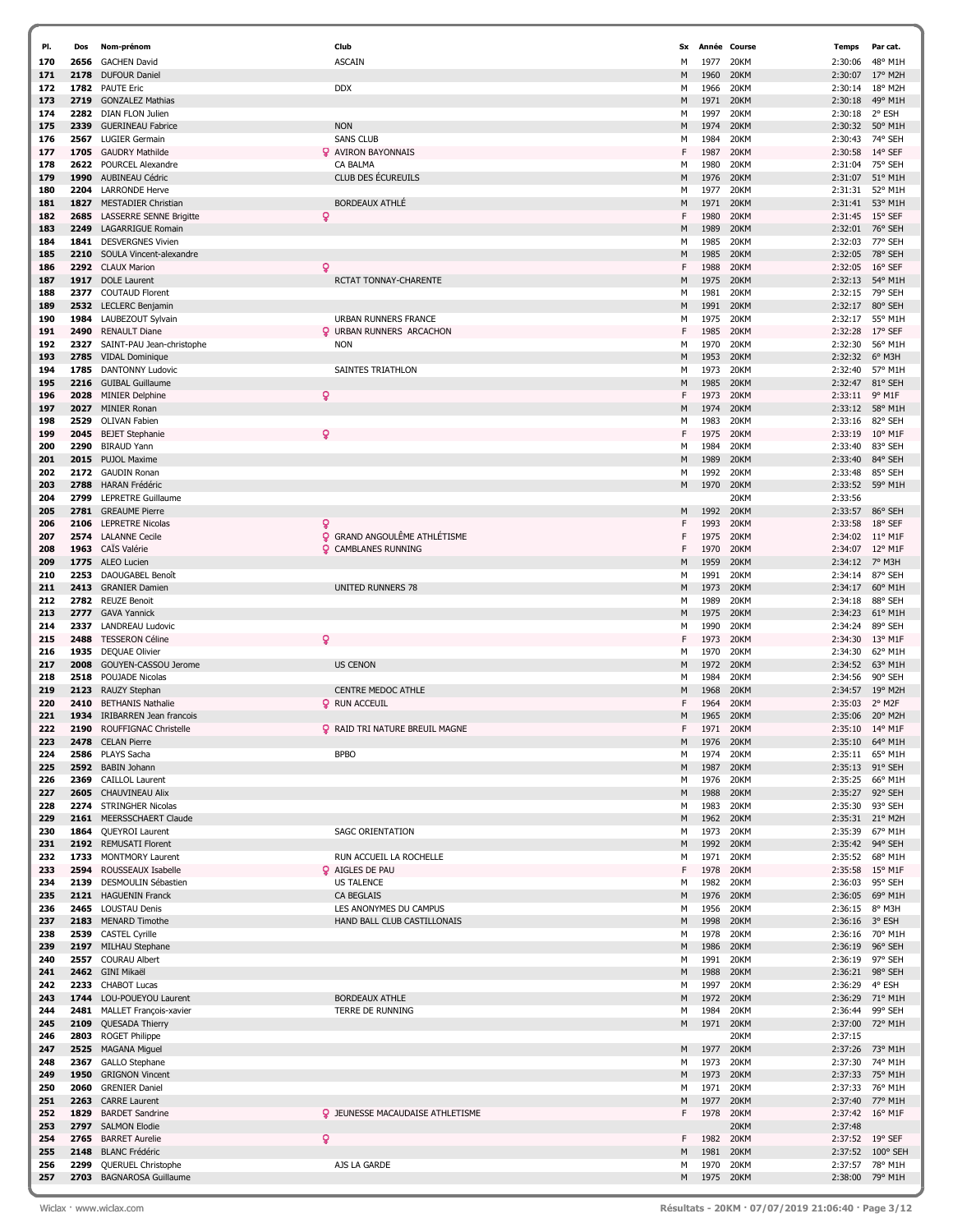| PI.        | Dos          | Nom-prénom                                                   |   | Club                                    | <b>Sx</b> |                   | Année Course | Temps              | Par cat.                   |
|------------|--------------|--------------------------------------------------------------|---|-----------------------------------------|-----------|-------------------|--------------|--------------------|----------------------------|
| 170        | 2656         | <b>GACHEN David</b>                                          |   | <b>ASCAIN</b>                           | M         | 1977              | 20KM         | 2:30:06            | 48° M1H                    |
| 171        | 2178         | <b>DUFOUR Daniel</b>                                         |   |                                         | M         | 1960              | 20KM         | 2:30:07            | 17° M2H                    |
| 172        | 1782         | <b>PAUTE Eric</b>                                            |   | <b>DDX</b>                              | М         | 1966              | 20KM         | 2:30:14            | 18° M2H                    |
| 173        | 2719         | <b>GONZALEZ Mathias</b>                                      |   |                                         | М         | 1971              | 20KM         | 2:30:18            | 49° M1H                    |
| 174        | 2282         | <b>DIAN FLON Julien</b>                                      |   |                                         | М         | 1997              | 20KM         | 2:30:18            | 2° ESH                     |
| 175        | 2339         | <b>GUERINEAU Fabrice</b>                                     |   | <b>NON</b>                              | M         | 1974              | 20KM         | 2:30:32            | 50° M1H                    |
| 176        | 2567         | <b>LUGIER Germain</b>                                        |   | <b>SANS CLUB</b>                        | М         | 1984              | 20KM         | 2:30:43            | 74° SEH                    |
| 177        | 1705         | <b>GAUDRY Mathilde</b>                                       |   | <b>Q</b> AVIRON BAYONNAIS               | F         | 1987              | 20KM         | 2:30:58            | 14° SEF                    |
| 178        | 2622         | POURCEL Alexandre                                            |   | CA BALMA                                | М         | 1980              | 20KM         | 2:31:04            | 75° SEH                    |
| 179        | 1990         | AUBINEAU Cédric                                              |   | CLUB DES ÉCUREUILS                      | М         | 1976              | 20KM         | 2:31:07            | 51° M1H                    |
| 180        | 2204<br>1827 | <b>LARRONDE Herve</b>                                        |   | <b>BORDEAUX ATHLÉ</b>                   | М<br>М    | 1977<br>1971      | 20KM<br>20KM | 2:31:31<br>2:31:41 | 52° M1H<br>53° M1H         |
| 181<br>182 | 2685         | <b>MESTADIER Christian</b><br><b>LASSERRE SENNE Brigitte</b> | ò |                                         | F         | 1980              | 20KM         | 2:31:45            | $15^{\circ}$ SEF           |
| 183        | 2249         | <b>LAGARRIGUE Romair</b>                                     |   |                                         | M         | 1989              | 20KM         | 2:32:01            | 76° SEH                    |
| 184        | 1841         | <b>DESVERGNES Vivien</b>                                     |   |                                         | М         | 1985              | 20KM         | 2:32:03            | 77° SEH                    |
| 185        | 2210         | SOULA Vincent-alexandre                                      |   |                                         | M         | 1985              | 20KM         | 2:32:05            | 78° SEH                    |
| 186        | 2292         | <b>CLAUX Marion</b>                                          | Q |                                         | F         | 1988              | 20KM         | 2:32:05            | 16° SEF                    |
| 187        | 1917         | <b>DOLE</b> Laurent                                          |   | RCTAT TONNAY-CHARENTE                   | M         | 1975              | 20KM         | 2:32:13            | 54° M1H                    |
| 188        | 2377         | <b>COUTAUD Florent</b>                                       |   |                                         | М         | 1981              | 20KM         | 2:32:15            | 79° SEH                    |
| 189        | 2532         | <b>LECLERC</b> Benjamin                                      |   |                                         | М         | 1991              | 20KM         | 2:32:17            | 80° SEH                    |
| 190        | 1984         | LAUBEZOUT Sylvain                                            |   | URBAN RUNNERS FRANCE                    | М         | 1975              | 20KM         | 2:32:17            | 55° M1H                    |
| 191        | 2490         | <b>RENAULT Diane</b>                                         |   | <b>Q</b> URBAN RUNNERS ARCACHON         | F         | 1985              | 20KM         | 2:32:28            | 17° SEF                    |
| 192        | 2327         | SAINT-PAU Jean-christophe                                    |   | <b>NON</b>                              | М         | 1970              | 20KM         | 2:32:30            | 56° M1H                    |
| 193        | 2785         | <b>VIDAL Dominique</b>                                       |   |                                         | М         | 1953              | 20KM         | 2:32:32            | 6° M3H                     |
| 194        | 1785         | <b>DANTONNY Ludovic</b>                                      |   | <b>SAINTES TRIATHLON</b>                | м         | 1973              | 20KM         | 2:32:40            | 57° M1H                    |
| 195        | 2216         | <b>GUIBAL Guillaume</b>                                      |   |                                         | M         | 1985              | 20KM         | 2:32:47            | 81° SEH                    |
| 196        | 2028         | <b>MINIER Delphine</b>                                       | ò |                                         | F         | 1973              | 20KM         | 2:33:11            | 9° M1F                     |
| 197        | 2027         | <b>MINIER Ronan</b>                                          |   |                                         | М         | 1974              | 20KM         | 2:33:12            | 58° M1H                    |
| 198        | 2529         | <b>OLIVAN Fabien</b>                                         |   |                                         | M         | 1983              | 20KM         | 2:33:16            | 82° SEH                    |
| 199        | 2045         | <b>BEJET Stephanie</b>                                       | Q |                                         | F         | 1975              | 20KM         | 2:33:19            | 10° M1F                    |
| 200        | 2290         | <b>BIRAUD Yann</b>                                           |   |                                         | М         | 1984              | 20KM         | 2:33:40<br>2:33:40 | 83° SEH<br>84° SEH         |
| 201<br>202 | 2015<br>2172 | <b>PUJOL Maxime</b><br><b>GAUDIN Ronan</b>                   |   |                                         | М<br>M    | 1989<br>1992      | 20KM<br>20KM |                    | 85° SEH                    |
| 203        | 2788         | <b>HARAN Frédéric</b>                                        |   |                                         | M         | 1970              | 20KM         | 2:33:48<br>2:33:52 | 59° M1H                    |
| 204        | 2799         | <b>LEPRETRE Guillaume</b>                                    |   |                                         |           |                   | 20KM         | 2:33:56            |                            |
| 205        | 2781         | <b>GREAUME Pierre</b>                                        |   |                                         | M         | 1992              | 20KM         | 2:33:57            | 86° SEH                    |
| 206        | 2106         | <b>LEPRETRE Nicolas</b>                                      | Q |                                         | F         | 1993              | 20KM         | 2:33:58            | 18° SEF                    |
| 207        | 2574         | <b>LALANNE Cecile</b>                                        |   | <b>Q</b> GRAND ANGOULÊME ATHLÉTISME     | F         | 1975              | 20KM         | 2:34:02            | $11^{\circ}$ M1F           |
| 208        | 1963         | CAÏS Valérie                                                 |   | <b>Q</b> CAMBLANES RUNNING              | F         | 1970              | 20KM         | 2:34:07            | 12° M1F                    |
| 209        | 1775         | ALEO Lucien                                                  |   |                                         | M         | 1959              | 20KM         | 2:34:12            | 7° M3H                     |
| 210        | 2253         | DAOUGABEL Benoît                                             |   |                                         | М         | 1991              | 20KM         | 2:34:14            | 87° SEH                    |
| 211        | 2413         | <b>GRANIER Damien</b>                                        |   | UNITED RUNNERS 78                       | M         | 1973              | 20KM         | 2:34:17            | 60° M1H                    |
| 212        | 2782         | <b>REUZE Benoit</b>                                          |   |                                         | М         | 1989              | 20KM         | 2:34:18            | 88° SEH                    |
| 213        | 2777         | <b>GAVA Yannick</b>                                          |   |                                         | M         | 1975              | 20KM         | 2:34:23            | 61° M1H                    |
| 214        | 2337         | <b>LANDREAU Ludovic</b>                                      |   |                                         | М         | 1990              | 20KM         | 2:34:24            | 89° SEH                    |
| 215        | 2488         | <b>TESSERON Céline</b>                                       |   |                                         | F         | 1973              | 20KM         | 2:34:30            | 13° M1F                    |
| 216        | 1935         | <b>DEQUAE Olivier</b>                                        |   |                                         | м         | 1970              | 20KM         | 2:34:30            | 62° M1H                    |
| 217        | 2008         | GOUYEN-CASSOU Jerome                                         |   | <b>US CENON</b>                         | M         | 1972              | 20KM         | 2:34:52            | 63° M1H                    |
| 218        | 2518         | POUJADE Nicolas                                              |   |                                         | M         | 1984              | 20KM         | 2:34:56            | 90° SEH                    |
| 219        | 2123         | RAUZY Stephan<br><b>BETHANIS Nathalie</b>                    |   | <b>CENTRE MEDOC ATHLE</b>               | M         | 1968              | 20KM         | 2:34:57            | 19° M2H                    |
| 220<br>221 | 2410<br>1934 | <b>IRIBARREN Jean francois</b>                               |   | <b>Q</b> RUN ACCEUIL                    | F<br>м    | 1964<br>1965      | 20KM<br>20KM | 2:35:03<br>2:35:06 | 2° M2F<br>20° M2H          |
| 222        | 2190         | ROUFFIGNAC Christelle                                        |   | <b>Q</b> RAID TRI NATURE BREUIL MAGNE   | F         | 1971              | 20KM         | 2:35:10            | 14° M1F                    |
| 223        | 2478         | <b>CELAN Pierre</b>                                          |   |                                         | M         | 1976              | 20KM         | 2:35:10            | 64° M1H                    |
| 224        | 2586         | PLAYS Sacha                                                  |   | <b>BPBO</b>                             | М         | 1974              | 20KM         | 2:35:11            | 65° M1H                    |
| 225        | 2592         | <b>BABIN Johann</b>                                          |   |                                         | M         | 1987              | 20KM         | 2:35:13            | 91° SEH                    |
| 226        | 2369         | <b>CAILLOL Laurent</b>                                       |   |                                         | м         | 1976              | 20KM         | 2:35:25            | 66° M1H                    |
| 227        | 2605         | <b>CHAUVINEAU Alix</b>                                       |   |                                         | М         | 1988              | 20KM         | 2:35:27            | 92° SEH                    |
| 228        | 2274         | <b>STRINGHER Nicolas</b>                                     |   |                                         | м         | 1983              | 20KM         | 2:35:30            | 93° SEH                    |
| 229        |              | 2161 MEERSSCHAERT Claude                                     |   |                                         | M         | 1962              | 20KM         | 2:35:31            | 21° M2H                    |
| 230        | 1864         | QUEYROI Laurent                                              |   | <b>SAGC ORIENTATION</b>                 | М         | 1973              | 20KM         | 2:35:39            | 67° M1H                    |
| 231        |              | 2192 REMUSATI Florent                                        |   |                                         | M         | 1992              | 20KM         |                    | 2:35:42 94° SEH            |
| 232        | 1733         | MONTMORY Laurent                                             |   | RUN ACCUEIL LA ROCHELLE                 | м         | 1971              | 20KM         | 2:35:52            | 68° M1H                    |
| 233        | 2594         | ROUSSEAUX Isabelle                                           |   | <b>Q</b> AIGLES DE PAU                  | F         | 1978              | 20KM         | 2:35:58            | $15^{\circ}$ M1F           |
| 234        | 2139         | DESMOULIN Sébastien                                          |   | <b>US TALENCE</b>                       | М         | 1982              | 20KM         | 2:36:03            | 95° SEH                    |
| 235        |              | 2121 HAGUENIN Franck                                         |   | <b>CA BEGLAIS</b>                       | М         | 1976              | 20KM         | 2:36:05            | 69° M1H                    |
| 236<br>237 |              | 2465 LOUSTAU Denis                                           |   | LES ANONYMES DU CAMPUS                  | м<br>M    | 1956              | 20KM         | 2:36:15            | 8° M3H                     |
| 238        |              | 2183 MENARD Timothe<br>2539 CASTEL Cyrille                   |   | HAND BALL CLUB CASTILLONAIS             | М         | 1998<br>1978      | 20KM<br>20KM | 2:36:16<br>2:36:16 | 3° ESH<br>70° M1H          |
| 239        |              | 2197 MILHAU Stephane                                         |   |                                         | M         | 1986              | 20KM         | 2:36:19            | 96° SEH                    |
| 240        | 2557         | <b>COURAU Albert</b>                                         |   |                                         | М         | 1991              | 20KM         | 2:36:19            | 97° SEH                    |
| 241        | 2462         | GINI Mikaël                                                  |   |                                         | М         | 1988              | 20KM         | 2:36:21            | 98° SEH                    |
| 242        | 2233         | <b>CHABOT Lucas</b>                                          |   |                                         | М         | 1997              | 20KM         | 2:36:29            | 4° ESH                     |
| 243        | 1744         | LOU-POUEYOU Laurent                                          |   | <b>BORDEAUX ATHLE</b>                   | М         | 1972              | 20KM         | 2:36:29            | 71° M1H                    |
| 244        | 2481         | MALLET François-xavier                                       |   | TERRE DE RUNNING                        | м         | 1984              | 20KM         | 2:36:44            | 99° SEH                    |
| 245        | 2109         | QUESADA Thierry                                              |   |                                         | M         | 1971              | 20KM         | 2:37:00            | 72° M1H                    |
| 246        | 2803         | <b>ROGET Philippe</b>                                        |   |                                         |           |                   | 20KM         | 2:37:15            |                            |
| 247        | 2525         | <b>MAGANA Miguel</b>                                         |   |                                         | M         | 1977              | 20KM         | 2:37:26            | 73° M1H                    |
| 248        | 2367         | <b>GALLO Stephane</b>                                        |   |                                         | М         | 1973              | 20KM         | 2:37:30            | 74° M1H                    |
| 249        | 1950         | <b>GRIGNON Vincent</b>                                       |   |                                         | M         | 1973              | 20KM         | 2:37:33            | 75° M1H                    |
| 250        | 2060         | <b>GRENIER Daniel</b>                                        |   |                                         | М         | 1971              | 20KM         |                    | 2:37:33 76° M1H            |
| 251        | 2263         | <b>CARRE Laurent</b>                                         |   |                                         | М         | 1977              | 20KM         | 2:37:40            | 77° M1H                    |
| 252        | 1829         | <b>BARDET Sandrine</b>                                       |   | <b>Q</b> JEUNESSE MACAUDAISE ATHLETISME | F         | 1978              | 20KM         | 2:37:42            | $16^{\circ}$ M1F           |
| 253        |              | 2797 SALMON Elodie                                           |   |                                         |           |                   | 20KM         | 2:37:48            |                            |
| 254        | 2765         | <b>BARRET Aurelie</b>                                        | Q |                                         | F         | 1982              | 20KM         | 2:37:52            | 19° SEF                    |
| 255        | 2148         | <b>BLANC Frédéric</b>                                        |   |                                         | м         | 1981              | 20KM         | 2:37:52            | 100° SEH                   |
| 256<br>257 | 2299         | QUERUEL Christophe<br>2703 BAGNAROSA Guillaume               |   | AJS LA GARDE                            | м<br>M    | 1970<br>1975 20KM | 20KM         | 2:37:57            | 78° M1H<br>2:38:00 79° M1H |
|            |              |                                                              |   |                                         |           |                   |              |                    |                            |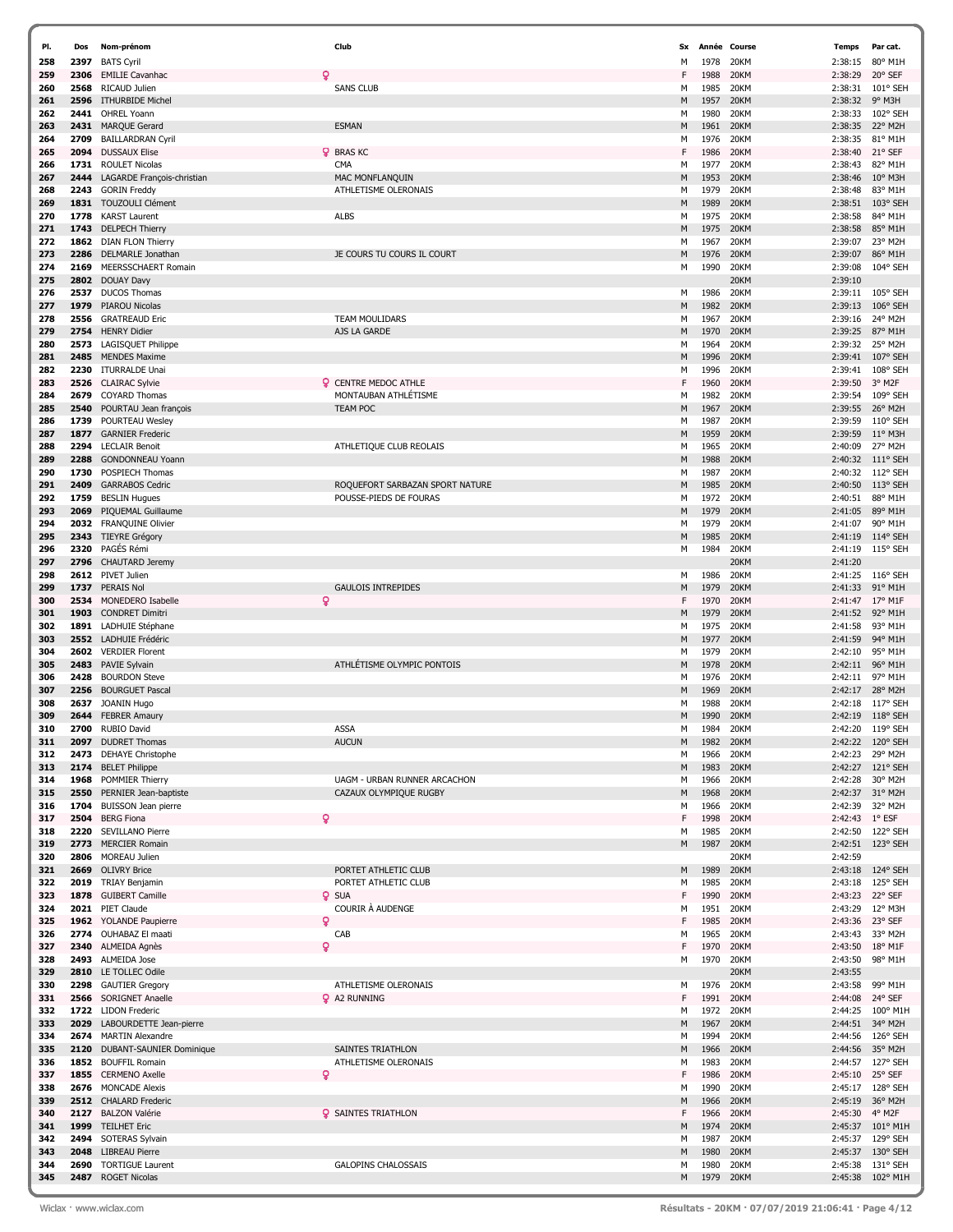| PI.        | Dos          | Nom-prénom                                      | Club                            | Sx     | Année        | Course       | <b>Temps</b>       | Par cat.                      |
|------------|--------------|-------------------------------------------------|---------------------------------|--------|--------------|--------------|--------------------|-------------------------------|
| 258        | 2397         | <b>BATS Cyril</b>                               |                                 | M      | 1978         | 20KM         | 2:38:15            | 80° M1H                       |
| 259        | 2306         | <b>EMILIE Cavanhac</b>                          | δ                               | F      | 1988         | 20KM         | 2:38:29            | 20° SEF                       |
| 260        | 2568         | RICAUD Julien                                   | <b>SANS CLUB</b>                | М      | 1985         | 20KM         | 2:38:31            | 101° SEH                      |
| 261        |              | 2596 ITHURBIDE Michel                           |                                 | M      | 1957         | 20KM         | 2:38:32            | 9° M3H                        |
| 262        | 2441         | OHREL Yoann                                     |                                 | м      | 1980         | 20KM         | 2:38:33            | 102° SEH                      |
| 263        | 2431         | <b>MARQUE Gerard</b>                            | <b>ESMAN</b>                    | M      | 1961         | 20KM         | 2:38:35            | 22° M2H                       |
| 264        | 2709         | <b>BAILLARDRAN Cyril</b>                        |                                 | M      | 1976         | 20KM         | 2:38:35            | 81° M1H                       |
| 265        | 2094         | <b>DUSSAUX Elise</b>                            | <b>Q</b> BRAS KC                | F      | 1986         | 20KM         | 2:38:40            | 21° SEF                       |
| 266        | 1731         | <b>ROULET Nicolas</b>                           | <b>CMA</b>                      | M      | 1977         | 20KM         | 2:38:43            | 82° M1H                       |
| 267        | 2444         | LAGARDE François-christian                      | MAC MONFLANQUIN                 | M      | 1953         | 20KM         | 2:38:46            | 10° M3H                       |
| 268        | 2243         | <b>GORIN Freddy</b>                             | ATHLETISME OLERONAIS            | м      | 1979         | 20KM         | 2:38:48            | 83° M1H                       |
| 269        |              | 1831 TOUZOULI Clément                           |                                 | M      | 1989         | 20KM         | 2:38:51            | 103° SEH                      |
| 270        | 1778         | <b>KARST Laurent</b>                            | <b>ALBS</b>                     | м      | 1975         | 20KM         | 2:38:58            | 84° M1H                       |
| 271        | 1743         | <b>DELPECH Thierry</b>                          |                                 | M      | 1975         | 20KM         | 2:38:58            | 85° M1H                       |
| 272        | 1862         | <b>DIAN FLON Thierry</b>                        |                                 | М      | 1967         | 20KM         | 2:39:07            | 23° M2H                       |
| 273        | 2286         | DELMARLE Jonathan                               | JE COURS TU COURS IL COURT      | M      | 1976         | 20KM         | 2:39:07            | 86° M1H                       |
| 274        | 2169         | MEERSSCHAERT Romain                             |                                 | м      | 1990         | 20KM         | 2:39:08            | 104° SEH                      |
| 275        | 2802         | <b>DOUAY Davy</b>                               |                                 |        |              | 20KM         | 2:39:10            |                               |
| 276        | 2537         | <b>DUCOS Thomas</b>                             |                                 | м      | 1986         | 20KM         | 2:39:11            | 105° SEH                      |
| 277        | 1979         | <b>PIAROU Nicolas</b>                           |                                 | M      | 1982         | 20KM         | 2:39:13            | 106° SEH                      |
| 278        | 2556         | <b>GRATREAUD Eric</b>                           | TEAM MOULIDARS                  | м      | 1967         | 20KM         | 2:39:16            | 24° M2H                       |
| 279        | 2754         | <b>HENRY Didier</b>                             | AJS LA GARDE                    | M      | 1970         | 20KM         | 2:39:25            | 87° M1H                       |
| 280        | 2573         | LAGISQUET Philippe                              |                                 | М      | 1964         | 20KM         | 2:39:32            | 25° M2H                       |
| 281        | 2485         | <b>MENDES Maxime</b>                            |                                 | M      | 1996         | 20KM         | 2:39:41            | 107° SEH                      |
| 282        |              | 2230 ITURRALDE Unai                             |                                 | М      | 1996         | 20KM         | 2:39:41            | 108° SEH                      |
| 283        | 2526         | <b>CLAIRAC Sylvie</b>                           | Q<br><b>CENTRE MEDOC ATHLE</b>  | F      | 1960         | 20KM         | 2:39:50            | 3° M2F                        |
| 284        | 2679         | <b>COYARD Thomas</b>                            | MONTAUBAN ATHLÉTISME            | М      | 1982         | 20KM         | 2:39:54            | 109° SEH                      |
| 285        | 2540         | POURTAU Jean françois                           | <b>TEAM POC</b>                 | M      | 1967         | 20KM         | 2:39:55            | 26° M2H                       |
| 286        | 1739         | POURTEAU Wesley                                 |                                 | м      | 1987         | 20KM         | 2:39:59            | 110° SEH                      |
| 287        | 1877         | <b>GARNIER Frederic</b>                         |                                 | M      | 1959         | 20KM         | 2:39:59            | $11^{\circ}$ M3H              |
| 288        | 2294         | <b>LECLAIR Benoit</b>                           | ATHLETIQUE CLUB REOLAIS         | М      | 1965         | 20KM         | 2:40:09            | 27° M2H                       |
| 289        | 2288         | <b>GONDONNEAU Yoann</b>                         |                                 | M      | 1988         | 20KM         | 2:40:32            | $111^{\circ}$ SEH             |
| 290        | 1730         | <b>POSPIECH Thomas</b>                          |                                 | м      | 1987         | 20KM         | 2:40:32            | $112^{\circ}$ SEH             |
| 291        | 2409         | <b>GARRABOS Cedric</b>                          | ROQUEFORT SARBAZAN SPORT NATURE | M      | 1985         | 20KM         | 2:40:50            | 113° SEH                      |
| 292        | 1759         | <b>BESLIN Hugues</b>                            | POUSSE-PIEDS DE FOURAS          | м      | 1972         | 20KM         | 2:40:51            | 88° M1H                       |
| 293        | 2069         | PIQUEMAL Guillaume                              |                                 | M      | 1979         | 20KM         | 2:41:05            | 89° M1H                       |
| 294        |              | 2032 FRANQUINE Olivier                          |                                 | м      | 1979         | 20KM         | 2:41:07            | 90° M1H                       |
| 295        | 2343         | <b>TIEYRE Grégory</b>                           |                                 | M      | 1985         | 20KM         | 2:41:19            | 114° SEH                      |
| 296        | 2320         | PAGÉS Rémi                                      |                                 | м      | 1984         | 20KM         | 2:41:19            | 115° SEH                      |
| 297        |              | 2796 CHAUTARD Jeremy                            |                                 |        |              | 20KM         | 2:41:20            |                               |
| 298        |              | 2612 PIVET Julien                               |                                 | м      | 1986         | 20KM         | 2:41:25            | $116^{\circ}$ SEH             |
| 299        | 1737         | <b>PERAIS Nol</b>                               | <b>GAULOIS INTREPIDES</b>       | M      | 1979         | 20KM         | 2:41:33            | 91° M1H                       |
| 300        | 2534         | MONEDERO Isabelle                               | Q                               | F      | 1970         | 20KM         | 2:41:47            | $17^{\circ}$ M1F              |
| 301        | 1903         | <b>CONDRET Dimitri</b>                          |                                 | M      | 1979         | 20KM         | 2:41:52            | 92° M1H                       |
| 302        | 1891         | LADHUIE Stéphane                                |                                 | м      | 1975         | 20KM         | 2:41:58            | 93° M1H                       |
| 303        |              | 2552 LADHUIE Frédéric                           |                                 | M      | 1977         | 20KM         | 2:41:59            | 94° M1H                       |
| 304        |              | 2602 VERDIER Florent                            |                                 | М      | 1979         | 20KM         | 2:42:10            | 95° M1H                       |
| 305        | 2483         | PAVIE Sylvain                                   | ATHLÉTISME OLYMPIC PONTOIS      | M      | 1978         | 20KM         | 2:42:11            | 96° M1H                       |
| 306        | 2428         | <b>BOURDON Steve</b>                            |                                 | м      | 1976         | 20KM         | 2:42:11            | 97° M1H                       |
| 307        | 2256         | <b>BOURGUET Pascal</b>                          |                                 | M      | 1969         | 20KM         | 2:42:17            | 28° M2H                       |
| 308        | 2637         | <b>JOANIN Hugo</b>                              |                                 | M      | 1988         | 20KM         | 2:42:18            | 117° SEH                      |
| 309        | 2644<br>2700 | <b>FEBRER Amaury</b><br><b>RUBIO David</b>      | <b>ASSA</b>                     | M<br>M | 1990<br>1984 | 20KM<br>20KM | 2:42:19<br>2:42:20 | $118°$ SEH<br>119° SEH        |
| 310        |              |                                                 | <b>AUCUN</b>                    |        |              | 20KM         | 2:42:22            | 120° SEH                      |
| 311<br>312 | 2097         | <b>DUDRET Thomas</b>                            |                                 | M<br>м | 1982<br>1966 | 20KM         | 2:42:23            | 29° M2H                       |
| 313        | 2174         | 2473 DEHAYE Christophe<br><b>BELET Philippe</b> |                                 | M      | 1983         | 20KM         | 2:42:27            | 121° SEH                      |
| 314        | 1968         | POMMIER Thierry                                 | UAGM - URBAN RUNNER ARCACHON    | м      | 1966         | 20KM         | 2:42:28            | 30° M2H                       |
| 315        | 2550         | PERNIER Jean-baptiste                           | CAZAUX OLYMPIQUE RUGBY          | M      | 1968         | 20KM         | 2:42:37            | 31° M2H                       |
| 316        | 1704         | <b>BUISSON Jean pierre</b>                      |                                 | М      | 1966         | 20KM         | 2:42:39            | 32° M2H                       |
| 317        | 2504         | <b>BERG Fiona</b>                               | Q                               | F      | 1998         | 20KM         | 2:42:43 1° ESF     |                               |
| 318        | 2220         | SEVILLANO Pierre                                |                                 | м      | 1985         | 20KM         | 2:42:50            | 122° SEH                      |
| 319        | 2773         | <b>MERCIER Romain</b>                           |                                 | M      | 1987         | 20KM         | 2:42:51            | 123° SEH                      |
| 320        |              | 2806 MOREAU Julien                              |                                 |        |              | 20KM         | 2:42:59            |                               |
| 321        |              | 2669 OLIVRY Brice                               | PORTET ATHLETIC CLUB            | M      | 1989         | 20KM         | 2:43:18            | 124° SEH                      |
| 322        |              | 2019 TRIAY Benjamin                             | PORTET ATHLETIC CLUB            | м      | 1985         | 20KM         | 2:43:18            | 125° SEH                      |
| 323        | 1878         | <b>GUIBERT Camille</b>                          | Q<br><b>SUA</b>                 | F      | 1990         | 20KM         | 2:43:23            | 22° SEF                       |
| 324        |              | 2021 PIET Claude                                | COURIR À AUDENGE                | М      | 1951         | 20KM         | 2:43:29            | 12° M3H                       |
| 325        |              | 1962 YOLANDE Paupierre                          | ò                               | F      | 1985         | 20KM         | 2:43:36 23° SEF    |                               |
| 326        |              | 2774 OUHABAZ El maati                           | CAB                             | М      | 1965         | 20KM         | 2:43:43            | 33° M2H                       |
| 327        |              | 2340 ALMEIDA Agnès                              | ò                               | F      | 1970         | 20KM         | 2:43:50            | 18° M1F                       |
| 328        |              | 2493 ALMEIDA Jose                               |                                 | м      | 1970         | 20KM         | 2:43:50            | 98° M1H                       |
| 329        |              | 2810 LE TOLLEC Odile                            |                                 |        |              | 20KM         | 2:43:55            |                               |
| 330        | 2298         | <b>GAUTIER Gregory</b>                          | ATHLETISME OLERONAIS            | м      | 1976         | 20KM         | 2:43:58            | 99° M1H                       |
| 331        |              | 2566 SORIGNET Anaelle                           | <b>Q</b> A2 RUNNING             | F      | 1991         | 20KM         | 2:44:08            | 24° SEF                       |
| 332        |              | 1722 LIDON Frederic                             |                                 | М      | 1972         | 20KM         | 2:44:25            | 100° M1H                      |
| 333        |              | 2029 LABOURDETTE Jean-pierre                    |                                 | M      | 1967         | 20KM         |                    | 2:44:51 34° M2H               |
| 334        |              | 2674 MARTIN Alexandre                           |                                 | M      | 1994         | 20KM         | 2:44:56            | 126° SEH                      |
| 335        | 2120         | DUBANT-SAUNIER Dominique                        | SAINTES TRIATHLON               | M      | 1966         | 20KM         | 2:44:56            | 35° M2H                       |
| 336        |              | 1852 BOUFFIL Romain                             | ATHLETISME OLERONAIS            | М      | 1983         | 20KM         | 2:44:57            | 127° SEH                      |
| 337        |              | 1855 CERMENO Axelle                             | Q                               | F      | 1986         | 20KM         | 2:45:10            | 25° SEF                       |
| 338        |              | 2676 MONCADE Alexis                             |                                 | м      | 1990         | 20KM         | 2:45:17            | 128° SEH                      |
| 339        |              | 2512 CHALARD Frederic                           |                                 | M      | 1966         | 20KM         | 2:45:19            | 36° M2H                       |
| 340        | 2127         | <b>BALZON Valérie</b>                           | <b>Q</b> SAINTES TRIATHLON      | F      | 1966         | 20KM         | 2:45:30            | 4° M2F                        |
| 341<br>342 | 2494         | 1999 TEILHET Eric<br>SOTERAS Sylvain            |                                 | M<br>м | 1974<br>1987 | 20KM<br>20KM | 2:45:37<br>2:45:37 | $101^{\circ}$ M1H<br>129° SEH |
| 343        |              | 2048 LIBREAU Pierre                             |                                 | M      | 1980         | 20KM         | 2:45:37            | $130^{\circ}$ SEH             |
| 344        | 2690         | <b>TORTIGUE Laurent</b>                         | <b>GALOPINS CHALOSSAIS</b>      | М      | 1980         | 20KM         | 2:45:38            | 131° SEH                      |
| 345        |              | 2487 ROGET Nicolas                              |                                 | M      | 1979 20KM    |              |                    | 2:45:38 102° M1H              |
|            |              |                                                 |                                 |        |              |              |                    |                               |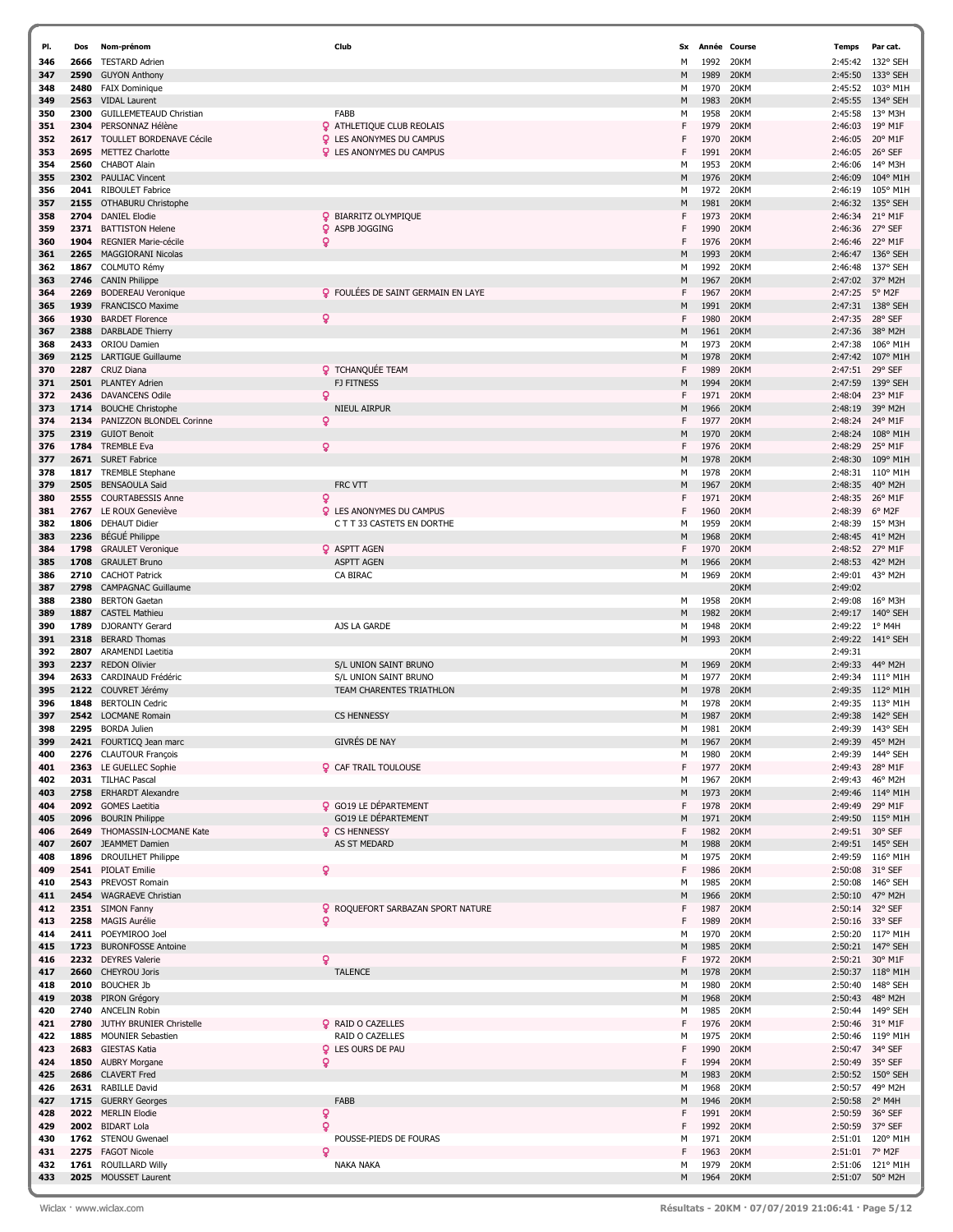| PI.        | Dos          | Nom-prénom                                          | Club                                         | Sx      |              | Année Course | <b>Temps</b>       | Par cat.                    |
|------------|--------------|-----------------------------------------------------|----------------------------------------------|---------|--------------|--------------|--------------------|-----------------------------|
| 346        | 2666         | <b>TESTARD Adrien</b>                               |                                              | M       | 1992         | 20KM         | 2:45:42            | 132° SEH                    |
| 347        | 2590         | <b>GUYON Anthony</b>                                |                                              | M       | 1989         | 20KM         | 2:45:50            | 133° SEH                    |
| 348        | 2480         | <b>FAIX Dominique</b>                               |                                              | М       | 1970         | 20KM         | 2:45:52            | 103° M1H                    |
| 349        | 2563         | <b>VIDAL Laurent</b>                                |                                              | M       | 1983         | 20KM         | 2:45:55            | 134° SEH                    |
| 350        | 2300         | <b>GUILLEMETEAUD Christian</b>                      | FABB                                         | M       | 1958         | 20KM         | 2:45:58            | 13° M3H                     |
| 351        | 2304         | PERSONNAZ Hélène                                    | <b>Q</b> ATHLETIQUE CLUB REOLAIS             | F       | 1979         | 20KM         | 2:46:03            | 19° M1F                     |
| 352        | 2617         | TOULLET BORDENAVE Cécile                            | <b>Q</b> LES ANONYMES DU CAMPUS              | F       | 1970         | 20KM         | 2:46:05            | 20° M1F                     |
| 353        | 2695         | <b>METTEZ Charlotte</b>                             | <b>Q</b> LES ANONYMES DU CAMPUS              | F       | 1991         | 20KM         | 2:46:05            | 26° SEF                     |
| 354        | 2560<br>2302 | <b>CHABOT Alain</b>                                 |                                              | м       | 1953<br>1976 | 20KM         | 2:46:06            | 14° M3H<br>104° M1H         |
| 355<br>356 | 2041         | <b>PAULIAC Vincent</b><br><b>RIBOULET Fabrice</b>   |                                              | M<br>м  | 1972         | 20KM<br>20KM | 2:46:09<br>2:46:19 | 105° M1H                    |
| 357        | 2155         | OTHABURU Christophe                                 |                                              | M       | 1981         | 20KM         | 2:46:32            | 135° SEH                    |
| 358        | 2704         | <b>DANIEL Elodie</b>                                | <b>Q</b> BIARRITZ OLYMPIQUE                  | F       | 1973         | 20KM         | 2:46:34            | 21° M1F                     |
| 359        | 2371         | <b>BATTISTON Helene</b>                             | <b>Q</b> ASPB JOGGING                        | F       | 1990         | 20KM         | 2:46:36            | 27° SEF                     |
| 360        | 1904         | <b>REGNIER Marie-cécile</b>                         | ó                                            | F       | 1976         | 20KM         | 2:46:46            | 22° M1F                     |
| 361        | 2265         | <b>MAGGIORANI Nicolas</b>                           |                                              | M       | 1993         | 20KM         | 2:46:47            | 136° SEH                    |
| 362        | 1867         | COLMUTO Rémy                                        |                                              | м       | 1992         | 20KM         | 2:46:48            | 137° SEH                    |
| 363        | 2746         | <b>CANIN Philippe</b>                               |                                              | M       | 1967         | 20KM         | 2:47:02            | 37° M2H                     |
| 364        | 2269         | <b>BODEREAU Veronique</b>                           | <b>Q</b> FOULÉES DE SAINT GERMAIN EN LAYE    | F       | 1967         | 20KM         | 2:47:25            | 5° M2F                      |
| 365        | 1939         | <b>FRANCISCO Maxime</b>                             |                                              | M       | 1991         | 20KM         | 2:47:31            | 138° SEH                    |
| 366        | 1930         | <b>BARDET Florence</b>                              | Q.                                           | F       | 1980         | 20KM         | 2:47:35            | 28° SEF                     |
| 367        | 2388         | <b>DARBLADE Thierry</b>                             |                                              | M       | 1961         | 20KM         | 2:47:36            | 38° M2H                     |
| 368        | 2433         | <b>ORIOU Damien</b>                                 |                                              | м       | 1973         | 20KM         | 2:47:38            | 106° M1H                    |
| 369        | 2125         | <b>LARTIGUE Guillaume</b>                           |                                              | M       | 1978         | 20KM         | 2:47:42            | 107° M1H                    |
| 370<br>371 | 2287<br>2501 | <b>CRUZ Diana</b><br><b>PLANTEY Adrien</b>          | <b>Q</b> TCHANQUÉE TEAM<br><b>FJ FITNESS</b> | F.<br>M | 1989<br>1994 | 20KM<br>20KM | 2:47:51<br>2:47:59 | 29° SEF<br>139° SEH         |
| 372        | 2436         | <b>DAVANCENS Odile</b>                              | ö                                            | F       | 1971         | 20KM         | 2:48:04            | 23° M1F                     |
| 373        | 1714         | <b>BOUCHE Christophe</b>                            | <b>NIEUL AIRPUR</b>                          | M       | 1966         | 20KM         | 2:48:19            | 39° M2H                     |
| 374        | 2134         | PANIZZON BLONDEL Corinne                            | Q                                            | F       | 1977         | 20KM         | 2:48:24            | 24° M1F                     |
| 375        | 2319         | <b>GUIOT Benoit</b>                                 |                                              | M       | 1970         | 20KM         | 2:48:24            | 108° M1H                    |
| 376        | 1784         | <b>TREMBLE Eva</b>                                  | Q.                                           | F       | 1976         | 20KM         | 2:48:29            | 25° M1F                     |
| 377        | 2671         | <b>SURET Fabrice</b>                                |                                              | M       | 1978         | 20KM         | 2:48:30            | 109° M1H                    |
| 378        | 1817         | <b>TREMBLE Stephane</b>                             |                                              | м       | 1978         | 20KM         | 2:48:31            | 110° M1H                    |
| 379        | 2505         | <b>BENSAOULA Said</b>                               | FRC VTT                                      | M       | 1967         | 20KM         | 2:48:35            | 40° M2H                     |
| 380        | 2555         | <b>COURTABESSIS Anne</b>                            | Q                                            | F       | 1971         | 20KM         | 2:48:35            | 26° M1F                     |
| 381        | 2767         | LE ROUX Geneviève                                   | <b>Q</b> LES ANONYMES DU CAMPUS              | F       | 1960         | 20KM         | 2:48:39            | 6° M2F                      |
| 382        | 1806         | <b>DEHAUT Didier</b>                                | C T T 33 CASTETS EN DORTHE                   | м       | 1959         | 20KM         | 2:48:39            | 15° M3H                     |
| 383        | 2236         | <b>BÉGUÉ Philippe</b>                               |                                              | M       | 1968         | 20KM         | 2:48:45            | 41° M2H                     |
| 384        | 1798         | <b>GRAULET Veronique</b>                            | <b>Q</b> ASPTT AGEN                          | F       | 1970         | 20KM         | 2:48:52            | 27° M1F                     |
| 385        | 1708<br>2710 | <b>GRAULET Bruno</b>                                | <b>ASPTT AGEN</b>                            | M       | 1966         | 20KM         | 2:48:53            | 42° M2H                     |
| 386<br>387 | 2798         | <b>CACHOT Patrick</b><br><b>CAMPAGNAC Guillaume</b> | CA BIRAC                                     | м       | 1969         | 20KM<br>20KM | 2:49:01<br>2:49:02 | 43° M2H                     |
| 388        | 2380         | <b>BERTON Gaetan</b>                                |                                              | м       | 1958         | 20KM         | 2:49:08            | 16° M3H                     |
| 389        | 1887         | <b>CASTEL Mathieu</b>                               |                                              | M       | 1982         | 20KM         | 2:49:17            | $140^{\circ}$ SEH           |
| 390        | 1789         | <b>DJORANTY Gerard</b>                              | AJS LA GARDE                                 | м       | 1948         | 20KM         | 2:49:22            | $1^{\circ}$ M4H             |
| 391        | 2318         | <b>BERARD Thomas</b>                                |                                              | M       | 1993         | 20KM         | 2:49:22            | 141° SEH                    |
| 392        | 2807         | <b>ARAMENDI Laetitia</b>                            |                                              |         |              | 20KM         | 2:49:31            |                             |
| 393        | 2237         | <b>REDON Olivier</b>                                | S/L UNION SAINT BRUNO                        | M       | 1969         | 20KM         | 2:49:33            | 44° M2H                     |
| 394        | 2633         | CARDINAUD Frédéric                                  | S/L UNION SAINT BRUNO                        | м       | 1977         | 20KM         | 2:49:34            | 111° M1H                    |
| 395        | 2122         | COUVRET Jérémy                                      | TEAM CHARENTES TRIATHLON                     | M       | 1978         | 20KM         | 2:49:35            | 112° M1H                    |
| 396        | 1848         | <b>BERTOLIN Cedric</b>                              |                                              | м       | 1978         | 20KM         | 2:49:35            | 113° M1H                    |
| 397        |              | 2542 LOCMANE Romain                                 | <b>CS HENNESSY</b>                           | M       | 1987         | 20KM         | 2:49:38            | 142° SEH                    |
| 398        | 2295         | <b>BORDA Julien</b>                                 |                                              | м       | 1981         | 20KM         | 2:49:39            | 143° SEH                    |
| 399        |              | 2421 FOURTICQ Jean marc                             | <b>GIVRES DE NAY</b>                         | M       | 1967         | 20KM         | 2:49:39            | 45° M2H                     |
| 400        |              | 2276 CLAUTOUR François                              |                                              | м       | 1980         | 20KM         |                    | 2:49:39 144° SEH            |
| 401<br>402 |              | 2363 LE GUELLEC Sophie<br>2031 TILHAC Pascal        | <b>Q</b> CAF TRAIL TOULOUSE                  | F<br>м  | 1977<br>1967 | 20KM<br>20KM | 2:49:43<br>2:49:43 | 28° M1F<br>46° M2H          |
| 403        | 2758         | <b>ERHARDT Alexandre</b>                            |                                              | M       | 1973         | 20KM         | 2:49:46            | 114° M1H                    |
| 404        |              | 2092 GOMES Laetitia                                 | <b>Q</b> GO19 LE DÉPARTEMENT                 | F       | 1978         | 20KM         | 2:49:49            | 29° M1F                     |
| 405        |              | 2096 BOURIN Philippe                                | <b>GO19 LE DÉPARTEMENT</b>                   | M       | 1971         | 20KM         | 2:49:50            | 115° M1H                    |
| 406        | 2649         | THOMASSIN-LOCMANE Kate                              | <b>Q</b> CS HENNESSY                         | F       | 1982         | 20KM         | 2:49:51            | 30° SEF                     |
| 407        | 2607         | JEAMMET Damien                                      | AS ST MEDARD                                 | M       | 1988         | 20KM         | 2:49:51            | 145° SEH                    |
| 408        | 1896         | <b>DROUILHET Philippe</b>                           |                                              | м       | 1975         | 20KM         | 2:49:59            | 116° M1H                    |
| 409        |              | 2541 PIOLAT Emilie                                  | Q                                            | F       | 1986         | 20KM         | 2:50:08            | 31° SEF                     |
| 410        | 2543         | PREVOST Romain                                      |                                              | м       | 1985         | 20KM         |                    | 2:50:08 146° SEH            |
| 411        | 2454         | <b>WAGRAEVE Christian</b>                           |                                              | M       | 1966         | 20KM         | 2:50:10            | 47° M2H                     |
| 412        |              | 2351 SIMON Fanny                                    | <b>Q</b> ROQUEFORT SARBAZAN SPORT NATURE     | F       | 1987         | 20KM         | 2:50:14            | 32° SEF                     |
| 413        |              | 2258 MAGIS Aurélie                                  | Q.                                           | F       | 1989         | 20KM         |                    | 2:50:16 33° SEF             |
| 414        | 1723         | 2411 POEYMIROO Joel<br><b>BURONFOSSE Antoine</b>    |                                              | м       | 1970         | 20KM         | 2:50:20            | 117° M1H                    |
| 415<br>416 |              | 2232 DEYRES Valerie                                 | Q.                                           | M<br>F  | 1985<br>1972 | 20KM<br>20KM | 2:50:21<br>2:50:21 | 147° SEH<br>30° M1F         |
| 417        |              | 2660 CHEYROU Joris                                  | <b>TALENCE</b>                               | M       | 1978         | 20KM         | 2:50:37            | $118^{\circ}$ M1H           |
| 418        |              | 2010 BOUCHER Jb                                     |                                              | м       | 1980         | 20KM         | 2:50:40            | 148° SEH                    |
| 419        |              | 2038 PIRON Grégory                                  |                                              | M       | 1968         | 20KM         | 2:50:43            | 48° M2H                     |
| 420        |              | 2740 ANCELIN Robin                                  |                                              | м       | 1985         | 20KM         |                    | 2:50:44 149° SEH            |
| 421        | 2780         | JUTHY BRUNIER Christelle                            | <b>Q</b> RAID O CAZELLES                     | F       | 1976         | 20KM         | 2:50:46            | 31° M1F                     |
| 422        | 1885         | <b>MOUNIER Sebastien</b>                            | RAID O CAZELLES                              | М       | 1975         | 20KM         | 2:50:46            | 119° M1H                    |
| 423        |              | 2683 GIESTAS Katia                                  | <b>Q</b> LES OURS DE PAU                     | F       | 1990         | 20KM         | 2:50:47            | 34° SEF                     |
| 424        |              | 1850 AUBRY Morgane                                  | Ō                                            | F       | 1994         | 20KM         | 2:50:49            | 35° SEF                     |
| 425        |              | 2686 CLAVERT Fred                                   |                                              | м       | 1983         | 20KM         |                    | 2:50:52 150° SEH            |
| 426        |              | 2631 RABILLE David                                  |                                              | м       | 1968         | 20KM         | 2:50:57            | 49° M2H                     |
| 427        |              | 1715 GUERRY Georges                                 | FABB                                         | M       | 1946         | 20KM         | 2:50:58            | 2° M4H                      |
| 428        |              | 2022 MERLIN Elodie                                  | ò                                            | F       | 1991         | 20KM         | 2:50:59            | 36° SEF                     |
| 429        |              | 2002 BIDART Lola                                    | ö                                            | F       | 1992<br>1971 | 20KM         |                    | 2:50:59 37° SEF<br>120° M1H |
| 430<br>431 | 2275         | 1762 STENOU Gwenael<br><b>FAGOT Nicole</b>          | POUSSE-PIEDS DE FOURAS<br>۰                  | М<br>F  | 1963         | 20KM<br>20KM | 2:51:01<br>2:51:01 | 7° M2F                      |
| 432        | 1761         | <b>ROUILLARD Willy</b>                              | <b>NAKA NAKA</b>                             | М       | 1979         | 20KM         | 2:51:06            | 121° M1H                    |
| 433        |              | 2025 MOUSSET Laurent                                |                                              | M       | 1964         | 20KM         | 2:51:07            | 50° M2H                     |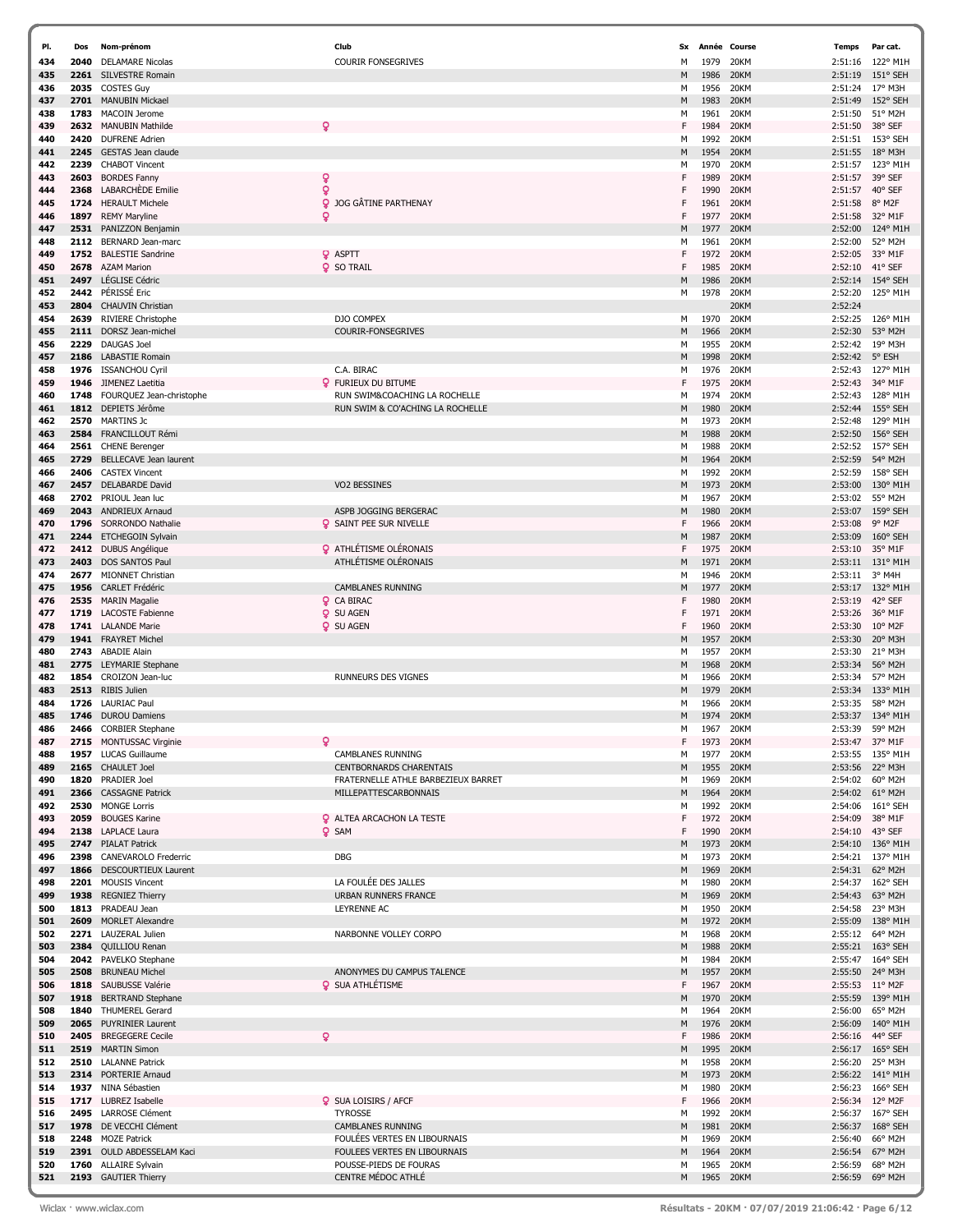| PI.        | Dos          | Nom-prénom                                             | Club                                                  | <b>Sx</b> |              | Année Course | Temps              | Par cat.                      |
|------------|--------------|--------------------------------------------------------|-------------------------------------------------------|-----------|--------------|--------------|--------------------|-------------------------------|
| 434        | 2040         | <b>DELAMARE Nicolas</b>                                | <b>COURIR FONSEGRIVES</b>                             | M         | 1979         | 20KM         | 2:51:16            | 122° M1H                      |
| 435        | 2261         | <b>SILVESTRE Romain</b>                                |                                                       | M         | 1986         | 20KM         | 2:51:19            | 151° SEH                      |
| 436        | 2035         | <b>COSTES Guy</b>                                      |                                                       | М         | 1956         | 20KM         | 2:51:24            | 17° M3H                       |
| 437        | 2701         | <b>MANUBIN Mickael</b>                                 |                                                       | M         | 1983         | 20KM         | 2:51:49            | 152° SEH                      |
| 438        | 1783<br>2632 | MACOIN Jerome<br><b>MANUBIN Mathilde</b>               | ç                                                     | М<br>F    | 1961<br>1984 | 20KM<br>20KM | 2:51:50<br>2:51:50 | 51° M2H<br>38° SEF            |
| 439<br>440 | 2420         | <b>DUFRENE Adrier</b>                                  |                                                       | М         | 1992         | 20KM         | 2:51:51            | 153° SEH                      |
| 441        | 2245         | GESTAS Jean claude                                     |                                                       | M         | 1954         | 20KM         | 2:51:55            | 18° M3H                       |
| 442        | 2239         | <b>CHABOT Vincent</b>                                  |                                                       | М         | 1970         | 20KM         | 2:51:57            | 123° M1H                      |
| 443        | 2603         | <b>BORDES Fanny</b>                                    |                                                       |           | 1989         | 20KM         | 2:51:57            | 39° SEF                       |
| 444        | 2368         | <b>LABARCHÈDE</b> Emilie                               | ò                                                     |           | 1990         | 20KM         | 2:51:57            | 40° SEF                       |
| 445        | 1724         | <b>HERAULT Michele</b>                                 | ò<br>JOG GÂTINE PARTHENAY                             |           | 1961         | 20KM         | 2:51:58            | 8° M2F                        |
| 446        | 1897         | <b>REMY Maryline</b>                                   | ó                                                     |           | 1977         | 20KM         | 2:51:58            | 32° M1F                       |
| 447        | 2531         | PANIZZON Benjamin                                      |                                                       | M         | 1977         | 20KM         | 2:52:00            | 124° M1H                      |
| 448<br>449 | 2112<br>1752 | BERNARD Jean-marc<br><b>BALESTIE Sandrine</b>          | <b>Q</b> ASPTT                                        | м         | 1961<br>1972 | 20KM<br>20KM | 2:52:00<br>2:52:05 | 52° M2H<br>33° M1F            |
| 450        | 2678         | <b>AZAM Marion</b>                                     | <b>Q</b> SO TRAIL                                     | F         | 1985         | 20KM         | 2:52:10            | 41° SEF                       |
| 451        | 2497         | LÉGLISE Cédric                                         |                                                       | M         | 1986         | 20KM         | 2:52:14            | 154° SEH                      |
| 452        | 2442         | PÉRISSÉ Eric                                           |                                                       | м         | 1978         | 20KM         | 2:52:20            | 125° M1H                      |
| 453        | 2804         | <b>CHAUVIN Christian</b>                               |                                                       |           |              | 20KM         | 2:52:24            |                               |
| 454        | 2639         | <b>RIVIERE Christophe</b>                              | DJO COMPEX                                            | м         | 1970         | 20KM         | 2:52:25            | 126° M1H                      |
| 455        | 2111         | DORSZ Jean-michel                                      | COURIR-FONSEGRIVES                                    | M         | 1966         | 20KM         | 2:52:30            | 53° M2H                       |
| 456<br>457 | 2229<br>2186 | <b>DAUGAS Joel</b><br><b>LABASTIE Romain</b>           |                                                       | М<br>M    | 1955<br>1998 | 20KM<br>20KM | 2:52:42<br>2:52:42 | 19° M3H<br>5° ESH             |
| 458        | 1976         | <b>ISSANCHOU Cyril</b>                                 | C.A. BIRAC                                            | М         | 1976         | 20KM         | 2:52:43            | 127° M1H                      |
| 459        | 1946         | JIMENEZ Laetitia                                       | <b>Q</b> FURIEUX DU BITUME                            | F         | 1975         | 20KM         | 2:52:43            | 34° M1F                       |
| 460        | 1748         | FOURQUEZ Jean-christophe                               | RUN SWIM&COACHING LA ROCHELLE                         | М         | 1974         | 20KM         | 2:52:43            | 128° M1H                      |
| 461        | 1812         | DEPIETS Jérôme                                         | RUN SWIM & CO'ACHING LA ROCHELLE                      | M         | 1980         | 20KM         | 2:52:44            | 155° SEH                      |
| 462        | 2570         | <b>MARTINS Jc</b>                                      |                                                       | М         | 1973         | 20KM         | 2:52:48            | 129° M1H                      |
| 463        | 2584         | FRANCILLOUT Rémi                                       |                                                       | M         | 1988         | 20KM         | 2:52:50            | 156° SEH                      |
| 464<br>465 | 2561<br>2729 | <b>CHENE Berenger</b><br><b>BELLECAVE Jean laurent</b> |                                                       | М<br>M    | 1988<br>1964 | 20KM<br>20KM | 2:52:52<br>2:52:59 | 157° SEH<br>54° M2H           |
| 466        | 2406         | <b>CASTEX Vincent</b>                                  |                                                       | М         | 1992         | 20KM         | 2:52:59            | 158° SEH                      |
| 467        | 2457         | <b>DELABARDE David</b>                                 | VO2 BESSINES                                          | M         | 1973         | 20KM         | 2:53:00            | 130° M1H                      |
| 468        | 2702         | PRIOUL Jean luc                                        |                                                       | м         | 1967         | 20KM         | 2:53:02            | 55° M2H                       |
| 469        | 2043         | <b>ANDRIEUX Arnaud</b>                                 | ASPB JOGGING BERGERAC                                 | M         | 1980         | 20KM         | 2:53:07            | 159° SEH                      |
| 470        | 1796         | <b>SORRONDO Nathalie</b>                               | <b>Q</b> SAINT PEE SUR NIVELLE                        | F         | 1966         | 20KM         | 2:53:08            | 9° M2F                        |
| 471        | 2244         | ETCHEGOIN Sylvain                                      |                                                       | M         | 1987         | 20KM         | 2:53:09            | 160° SEH                      |
| 472<br>473 | 2412<br>2403 | <b>DUBUS Angélique</b><br>DOS SANTOS Paul              | <b>Q</b> ATHLÉTISME OLÉRONAIS<br>ATHLÉTISME OLÉRONAIS | F<br>M    | 1975<br>1971 | 20KM<br>20KM | 2:53:10<br>2:53:11 | 35° M1F<br>131° M1H           |
| 474        | 2677         | <b>MIONNET Christian</b>                               |                                                       | М         | 1946         | 20KM         | 2:53:11            | 3° M4H                        |
| 475        | 1956         | <b>CARLET Frédéric</b>                                 | <b>CAMBLANES RUNNING</b>                              | M         | 1977         | 20KM         | 2:53:17            | 132° M1H                      |
| 476        | 2535         | <b>MARIN Magalie</b>                                   | <b>Q</b> CA BIRAC                                     | F         | 1980         | 20KM         | 2:53:19            | 42° SEF                       |
| 477        | 1719         | <b>LACOSTE Fabienne</b>                                | Q<br><b>SU AGEN</b>                                   | F         | 1971         | 20KM         | 2:53:26            | 36° M1F                       |
| 478        | 1741         | <b>LALANDE Marie</b>                                   | <b>Q</b> SU AGEN                                      | F         | 1960         | 20KM         | 2:53:30            | $10^{\circ}$ M <sub>2</sub> F |
| 479<br>480 | 1941<br>2743 | <b>FRAYRET Michel</b><br><b>ABADIE Alain</b>           |                                                       | M<br>м    | 1957<br>1957 | 20KM<br>20KM | 2:53:30<br>2:53:30 | 20° M3H<br>21° M3H            |
| 481        | 2775         | LEYMARIE Stephane                                      |                                                       | M         | 1968         | 20KM         | 2:53:34            | 56° M2H                       |
| 482        | 1854         | CROIZON Jean-luc                                       | RUNNEURS DES VIGNES                                   | м         | 1966         | 20KM         | 2:53:34            | 57° M2H                       |
| 483        | 2513         | <b>RIBIS Julien</b>                                    |                                                       | M         | 1979         | 20KM         | 2:53:34            | 133° M1H                      |
| 484        | 1726         | <b>LAURIAC Paul</b>                                    |                                                       | м         | 1966         | 20KM         | 2:53:35            | 58° M2H                       |
| 485        | 1746         | <b>DUROU Damiens</b>                                   |                                                       | M         | 1974         | 20KM         | 2:53:37            | 134° M1H<br>59° M2H           |
| 486<br>487 | 2466         | <b>CORBIER Stephane</b><br>2715 MONTUSSAC Virginie     | Q                                                     | м<br>F    | 1967<br>1973 | 20KM<br>20KM | 2:53:39<br>2:53:47 | 37° M1F                       |
| 488        |              | 1957 LUCAS Guillaume                                   | CAMBLANES RUNNING                                     | М         | 1977         | 20KM         | 2:53:55            | 135° M1H                      |
| 489        | 2165         | <b>CHAULET Joel</b>                                    | <b>CENTBORNARDS CHARENTAIS</b>                        | M         | 1955         | 20KM         | 2:53:56            | 22° M3H                       |
| 490        | 1820         | PRADIER Joel                                           | FRATERNELLE ATHLE BARBEZIEUX BARRET                   | м         | 1969         | 20KM         | 2:54:02            | 60° M2H                       |
| 491        | 2366         | <b>CASSAGNE Patrick</b>                                | MILLEPATTESCARBONNAIS                                 | M         | 1964         | 20KM         | 2:54:02            | 61° M2H                       |
| 492        | 2530         | <b>MONGE Lorris</b>                                    |                                                       | М         | 1992         | 20KM         | 2:54:06            | 161° SEH                      |
| 493<br>494 | 2059         | <b>BOUGES Karine</b><br>2138 LAPLACE Laura             | <b>Q</b> ALTEA ARCACHON LA TESTE<br><b>Q</b> SAM      | F<br>F    | 1972<br>1990 | 20KM<br>20KM | 2:54:09<br>2:54:10 | 38° M1F<br>43° SEF            |
| 495        | 2747         | <b>PIALAT Patrick</b>                                  |                                                       | M         | 1973         | 20KM         |                    | 2:54:10 136° M1H              |
| 496        | 2398         | CANEVAROLO Frederric                                   | DBG                                                   | М         | 1973         | 20KM         | 2:54:21            | 137° M1H                      |
| 497        | 1866         | DESCOURTIEUX Laurent                                   |                                                       | M         | 1969         | 20KM         | 2:54:31            | 62° M2H                       |
| 498        |              | 2201 MOUSIS Vincent                                    | LA FOULÉE DES JALLES                                  | м         | 1980         | 20KM         |                    | 2:54:37 162° SEH              |
| 499        | 1938         | <b>REGNIEZ Thierry</b>                                 | <b>URBAN RUNNERS FRANCE</b>                           | M         | 1969         | 20KM         | 2:54:43            | 63° M2H                       |
| 500        | 1813         | PRADEAU Jean                                           | <b>LEYRENNE AC</b>                                    | м         | 1950         | 20KM         | 2:54:58            | 23° M3H                       |
| 501<br>502 | 2609<br>2271 | <b>MORLET Alexandre</b><br>LAUZERAL Julien             | NARBONNE VOLLEY CORPO                                 | M<br>м    | 1972<br>1968 | 20KM<br>20KM | 2:55:09<br>2:55:12 | 138° M1H<br>64° M2H           |
| 503        | 2384         | QUILLIOU Renan                                         |                                                       | M         | 1988         | 20KM         | 2:55:21            | 163° SEH                      |
| 504        | 2042         | PAVELKO Stephane                                       |                                                       | М         | 1984         | 20KM         |                    | 2:55:47 164° SEH              |
| 505        | 2508         | <b>BRUNEAU Michel</b>                                  | ANONYMES DU CAMPUS TALENCE                            | M         | 1957         | 20KM         |                    | 2:55:50 24° M3H               |
| 506        | 1818         | SAUBUSSE Valérie                                       | <b>Q</b> SUA ATHLÉTISME                               | F         | 1967         | 20KM         |                    | 2:55:53 11° M2F               |
| 507        | 1918         | <b>BERTRAND Stephane</b>                               |                                                       | M         | 1970         | 20KM         | 2:55:59            | 139° M1H                      |
| 508        | 1840         | <b>THUMEREL Gerard</b>                                 |                                                       | м         | 1964         | 20KM         | 2:56:00            | 65° M2H                       |
| 509<br>510 | 2065<br>2405 | <b>PUYRINIER Laurent</b><br><b>BREGEGERE Cecile</b>    | Q                                                     | M<br>F    | 1976<br>1986 | 20KM<br>20KM | 2:56:09<br>2:56:16 | $140^{\circ}$ M1H<br>44° SEF  |
| 511        | 2519         | <b>MARTIN Simon</b>                                    |                                                       | M         | 1995         | 20KM         |                    | 2:56:17 165° SEH              |
| 512        | 2510         | <b>LALANNE Patrick</b>                                 |                                                       | М         | 1958         | 20KM         | 2:56:20            | 25° M3H                       |
| 513        |              | 2314 PORTERIE Arnaud                                   |                                                       | M         | 1973         | 20KM         |                    | 2:56:22 141° M1H              |
| 514        |              | 1937 NINA Sébastien                                    |                                                       | м         | 1980         | 20KM         | 2:56:23            | 166° SEH                      |
| 515        | 1717         | LUBREZ Isabelle                                        | SUA LOISIRS / AFCF                                    | F         | 1966         | 20KM         | 2:56:34            | 12° M2F                       |
| 516<br>517 |              | 2495 LARROSE Clément<br>1978 DE VECCHI Clément         | <b>TYROSSE</b><br><b>CAMBLANES RUNNING</b>            | м<br>M    | 1992<br>1981 | 20KM<br>20KM | 2:56:37            | 2:56:37 167° SEH<br>168° SEH  |
| 518        | 2248         | <b>MOZE Patrick</b>                                    | FOULÉES VERTES EN LIBOURNAIS                          | м         | 1969         | 20KM         | 2:56:40            | 66° M2H                       |
| 519        | 2391         | OULD ABDESSELAM Kaci                                   | FOULEES VERTES EN LIBOURNAIS                          | M         | 1964         | 20KM         | 2:56:54            | 67° M2H                       |
| 520        |              | 1760 ALLAIRE Sylvain                                   | POUSSE-PIEDS DE FOURAS                                | м         | 1965         | 20KM         | 2:56:59            | 68° M2H                       |
| 521        |              | 2193 GAUTIER Thierry                                   | CENTRE MÉDOC ATHLÉ                                    | M         |              | 1965 20KM    |                    | 2:56:59 69° M2H               |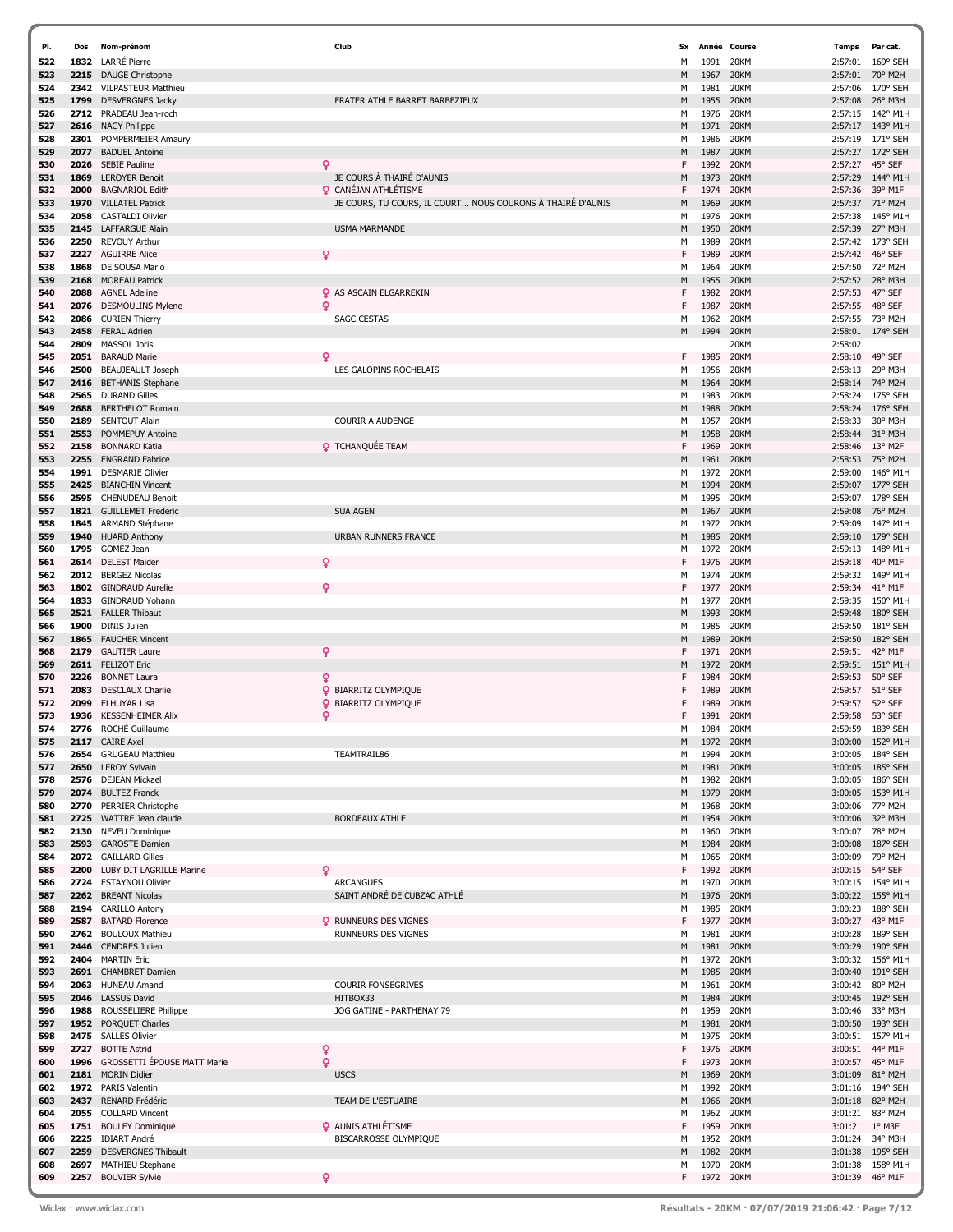| PI. | Dos  | Nom-prénom                  | Club                                                       | Sx | Année | Course    | <b>Temps</b> | Par cat.          |
|-----|------|-----------------------------|------------------------------------------------------------|----|-------|-----------|--------------|-------------------|
| 522 | 1832 | <b>LARRÉ</b> Pierre         |                                                            | м  | 1991  | 20KM      | 2:57:01      | 169° SEH          |
| 523 | 2215 | <b>DAUGE Christophe</b>     |                                                            | М  | 1967  | 20KM      | 2:57:01      | 70° M2H           |
| 524 | 2342 | <b>VILPASTEUR Matthieu</b>  |                                                            | М  | 1981  | 20KM      | 2:57:06      | 170° SEH          |
| 525 | 1799 | <b>DESVERGNES Jacky</b>     | FRATER ATHLE BARRET BARBEZIEUX                             | M  | 1955  | 20KM      | 2:57:08      | 26° M3H           |
| 526 | 2712 | PRADEAU Jean-roch           |                                                            | М  | 1976  | 20KM      | 2:57:15      | 142° M1H          |
| 527 | 2616 | <b>NAGY Philippe</b>        |                                                            | M  | 1971  | 20KM      | 2:57:17      | 143° M1H          |
| 528 | 2301 | POMPERMEIER Amaury          |                                                            | М  | 1986  | 20KM      | 2:57:19      | 171° SEH          |
|     | 2077 |                             |                                                            | M  |       |           |              | 172° SEH          |
| 529 |      | <b>BADUEL Antoine</b>       |                                                            |    | 1987  | 20KM      | 2:57:27      |                   |
| 530 | 2026 | <b>SEBIE Pauline</b>        | Q                                                          | F  | 1992  | 20KM      | 2:57:27      | 45° SEF           |
| 531 | 1869 | <b>LEROYER Benoit</b>       | JE COURS À THAIRÉ D'AUNIS                                  | М  | 1973  | 20KM      | 2:57:29      | 144° M1H          |
| 532 | 2000 | <b>BAGNARIOL Edith</b>      | <b>Q</b> CANÉJAN ATHLÉTISME                                | F  | 1974  | 20KM      | 2:57:36      | 39° M1F           |
| 533 | 1970 | <b>VILLATEL Patrick</b>     | JE COURS, TU COURS, IL COURT NOUS COURONS À THAIRÉ D'AUNIS | М  | 1969  | 20KM      | 2:57:37      | 71° M2H           |
| 534 | 2058 | <b>CASTALDI Olivier</b>     |                                                            | М  | 1976  | 20KM      | 2:57:38      | 145° M1H          |
| 535 | 2145 | <b>LAFFARGUE Alain</b>      | <b>USMA MARMANDE</b>                                       | M  | 1950  | 20KM      | 2:57:39      | 27° M3H           |
| 536 | 2250 | <b>REVOUY Arthur</b>        |                                                            | М  | 1989  | 20KM      | 2:57:42      | 173° SEH          |
| 537 | 2227 | <b>AGUIRRE Alice</b>        | Q                                                          | F  | 1989  | 20KM      | 2:57:42      | 46° SEF           |
|     | 1868 | DE SOUSA Mario              |                                                            |    | 1964  | 20KM      | 2:57:50      | 72° M2H           |
| 538 |      |                             |                                                            | м  |       |           |              |                   |
| 539 | 2168 | <b>MOREAU Patrick</b>       |                                                            | М  | 1955  | 20KM      | 2:57:52      | 28° M3H           |
| 540 | 2088 | <b>AGNEL Adeline</b>        | <b>Q</b> AS ASCAIN ELGARREKIN                              | F  | 1982  | 20KM      | 2:57:53      | 47° SEF           |
| 541 | 2076 | <b>DESMOULINS Mylene</b>    | $\mathbf{Q}$                                               | F  | 1987  | 20KM      | 2:57:55      | 48° SEF           |
| 542 | 2086 | <b>CURIEN Thierry</b>       | <b>SAGC CESTAS</b>                                         | м  | 1962  | 20KM      | 2:57:55      | 73° M2H           |
| 543 | 2458 | <b>FERAL Adrien</b>         |                                                            | М  | 1994  | 20KM      | 2:58:01      | 174° SEH          |
| 544 | 2809 | MASSOL Joris                |                                                            |    |       | 20KM      | 2:58:02      |                   |
| 545 | 2051 | <b>BARAUD Marie</b>         | Q                                                          | F  | 1985  | 20KM      | 2:58:10      | 49° SEF           |
| 546 | 2500 | <b>BEAUJEAULT Joseph</b>    | LES GALOPINS ROCHELAIS                                     | М  | 1956  | 20KM      | 2:58:13      | 29° M3H           |
| 547 | 2416 | <b>BETHANIS Stephane</b>    |                                                            | M  | 1964  | 20KM      | 2:58:14      | 74° M2H           |
|     | 2565 |                             |                                                            |    | 1983  | 20KM      | 2:58:24      | 175° SEH          |
| 548 |      | <b>DURAND Gilles</b>        |                                                            | М  |       |           |              |                   |
| 549 | 2688 | <b>BERTHELOT Romain</b>     |                                                            | M  | 1988  | 20KM      | 2:58:24      | $176°$ SEH        |
| 550 | 2189 | <b>SENTOUT Alain</b>        | <b>COURIR A AUDENGE</b>                                    | М  | 1957  | 20KM      | 2:58:33      | 30° M3H           |
| 551 | 2553 | <b>POMMEPUY Antoine</b>     |                                                            | М  | 1958  | 20KM      | 2:58:44      | 31° M3H           |
| 552 | 2158 | <b>BONNARD Katia</b>        | <b>Q</b> TCHANQUÉE TEAM                                    | F  | 1969  | 20KM      | 2:58:46      | 13° M2F           |
| 553 | 2255 | <b>ENGRAND Fabrice</b>      |                                                            | м  | 1961  | 20KM      | 2:58:53      | 75° M2H           |
| 554 | 1991 | <b>DESMARIE Olivier</b>     |                                                            | м  | 1972  | 20KM      | 2:59:00      | 146° M1H          |
| 555 | 2425 | <b>BIANCHIN Vincent</b>     |                                                            | М  | 1994  | 20KM      | 2:59:07      | 177° SEH          |
| 556 | 2595 | <b>CHENUDEAU Benoit</b>     |                                                            | м  | 1995  | 20KM      | 2:59:07      | 178° SEH          |
| 557 | 1821 | <b>GUILLEMET Frederic</b>   | <b>SUA AGEN</b>                                            | M  | 1967  | 20KM      | 2:59:08      | 76° M2H           |
| 558 | 1845 | ARMAND Stéphane             |                                                            | М  | 1972  | 20KM      | 2:59:09      | 147° M1H          |
|     |      |                             | <b>URBAN RUNNERS FRANCE</b>                                |    | 1985  | 20KM      |              | 179° SEH          |
| 559 | 1940 | <b>HUARD Anthony</b>        |                                                            | М  |       |           | 2:59:10      |                   |
| 560 | 1795 | GOMEZ Jean                  |                                                            | М  | 1972  | 20KM      | 2:59:13      | 148° M1H          |
| 561 | 2614 | <b>DELEST Maider</b>        | Q                                                          | F  | 1976  | 20KM      | 2:59:18      | 40° M1F           |
| 562 | 2012 | <b>BERGEZ Nicolas</b>       |                                                            | м  | 1974  | 20KM      | 2:59:32      | 149° M1H          |
| 563 | 1802 | <b>GINDRAUD Aurelie</b>     | Q                                                          | F  | 1977  | 20KM      | 2:59:34      | 41° M1F           |
| 564 | 1833 | <b>GINDRAUD Yohann</b>      |                                                            | м  | 1977  | 20KM      | 2:59:35      | 150° M1H          |
| 565 | 2521 | <b>FALLER Thibaut</b>       |                                                            | М  | 1993  | 20KM      | 2:59:48      | 180° SEH          |
| 566 | 1900 | <b>DINIS Julien</b>         |                                                            | М  | 1985  | 20KM      | 2:59:50      | 181° SEH          |
| 567 | 1865 | <b>FAUCHER Vincent</b>      |                                                            | М  | 1989  | 20KM      | 2:59:50      | 182° SEH          |
| 568 | 2179 | <b>GAUTIER Laure</b>        | ò                                                          | F  | 1971  | 20KM      | 2:59:51      | 42° M1F           |
| 569 | 2611 | <b>FELIZOT Eric</b>         |                                                            | м  | 1972  | 20KM      | 2:59:51      | 151° M1H          |
|     |      |                             |                                                            |    |       |           |              |                   |
| 570 | 2226 | <b>BONNET Laura</b>         | Q                                                          | F  | 1984  | 20KM      | 2:59:53      | 50° SEF           |
| 571 | 2083 | <b>DESCLAUX Charlie</b>     | <b>Q</b> BIARRITZ OLYMPIQUE                                | F  | 1989  | 20KM      | 2:59:57      | 51° SEF           |
| 572 | 2099 | <b>ELHUYAR Lisa</b>         | ò<br><b>BIARRITZ OLYMPIQUE</b>                             | F  | 1989  | 20KM      | 2:59:57      | 52° SEF           |
| 573 | 1936 | <b>KESSENHEIMER Alix</b>    | ò                                                          | F  | 1991  | 20KM      | 2:59:58      | 53° SEF           |
| 574 | 2776 | ROCHÉ Guillaume             |                                                            | М  | 1984  | 20KM      | 2:59:59      | 183° SEH          |
| 575 | 2117 | <b>CAIRE Axel</b>           |                                                            | м  | 1972  | 20KM      | 3:00:00      | 152° M1H          |
| 576 | 2654 | <b>GRUGEAU Matthieu</b>     | TEAMTRAIL86                                                | м  | 1994  | 20KM      |              | 3:00:05 184° SEH  |
| 577 | 2650 | <b>LEROY Sylvain</b>        |                                                            | М  | 1981  | 20KM      | 3:00:05      | 185° SEH          |
| 578 |      | 2576 DEJEAN Mickael         |                                                            | М  | 1982  | 20KM      | 3:00:05      | 186° SEH          |
| 579 |      | 2074 BULTEZ Franck          |                                                            | М  | 1979  | 20KM      | 3:00:05      | 153° M1H          |
| 580 | 2770 | PERRIER Christophe          |                                                            | м  | 1968  | 20KM      | 3:00:06      | 77° M2H           |
|     |      |                             | <b>BORDEAUX ATHLE</b>                                      |    |       | 20KM      |              |                   |
| 581 | 2725 | WATTRE Jean claude          |                                                            | М  | 1954  |           | 3:00:06      | 32° M3H           |
| 582 |      | 2130 NEVEU Dominique        |                                                            | М  | 1960  | 20KM      | 3:00:07      | 78° M2H           |
| 583 |      | 2593 GAROSTE Damien         |                                                            | М  | 1984  | 20KM      | 3:00:08      | 187° SEH          |
| 584 |      | 2072 GAILLARD Gilles        |                                                            | м  | 1965  | 20KM      | 3:00:09      | 79° M2H           |
| 585 | 2200 | LUBY DIT LAGRILLE Marine    | Q                                                          | F  | 1992  | 20KM      | 3:00:15      | 54° SEF           |
| 586 |      | 2724 ESTAYNOU Olivier       | <b>ARCANGUES</b>                                           | м  | 1970  | 20KM      | 3:00:15      | 154° M1H          |
| 587 |      | 2262 BREANT Nicolas         | SAINT ANDRÉ DE CUBZAC ATHLÉ                                | М  | 1976  | 20KM      | 3:00:22      | $155^{\circ}$ M1H |
| 588 | 2194 | <b>CARILLO Antony</b>       |                                                            | М  | 1985  | 20KM      | 3:00:23      | 188° SEH          |
| 589 | 2587 | <b>BATARD Florence</b>      | <b>Q</b> RUNNEURS DES VIGNES                               | F  | 1977  | 20KM      | 3:00:27      | 43° M1F           |
| 590 |      | 2762 BOULOUX Mathieu        | <b>RUNNEURS DES VIGNES</b>                                 | м  | 1981  | 20KM      | 3:00:28      | 189° SEH          |
| 591 | 2446 | <b>CENDRES Julien</b>       |                                                            | М  | 1981  | 20KM      | 3:00:29      | 190° SEH          |
| 592 | 2404 | <b>MARTIN Eric</b>          |                                                            | М  | 1972  | 20KM      |              | 3:00:32 156° M1H  |
| 593 |      | 2691 CHAMBRET Damien        |                                                            | М  | 1985  | 20KM      | 3:00:40      | 191° SEH          |
|     |      |                             |                                                            |    |       |           |              |                   |
| 594 |      | 2063 HUNEAU Amand           | <b>COURIR FONSEGRIVES</b>                                  | М  | 1961  | 20KM      | 3:00:42      | 80° M2H           |
| 595 |      | 2046 LASSUS David           | HITBOX33                                                   | М  | 1984  | 20KM      |              | 3:00:45 192° SEH  |
| 596 | 1988 | ROUSSELIERE Philippe        | JOG GATINE - PARTHENAY 79                                  | М  | 1959  | 20KM      | 3:00:46      | 33° M3H           |
| 597 |      | 1952 PORQUET Charles        |                                                            | М  | 1981  | 20KM      | 3:00:50      | 193° SEH          |
| 598 |      | 2475 SALLES Olivier         |                                                            | м  | 1975  | 20KM      | 3:00:51      | 157° M1H          |
| 599 | 2727 | <b>BOTTE Astrid</b>         | Q                                                          | F  | 1976  | 20KM      | 3:00:51      | 44° M1F           |
| 600 | 1996 | GROSSETTI ÉPOUSE MATT Marie | Ō                                                          | F  | 1973  | 20KM      | 3:00:57      | 45° M1F           |
| 601 |      | 2181 MORIN Didier           | <b>USCS</b>                                                | м  | 1969  | 20KM      | 3:01:09      | 81° M2H           |
| 602 |      | 1972 PARIS Valentin         |                                                            | м  | 1992  | 20KM      | 3:01:16      | 194° SEH          |
| 603 |      | 2437 RENARD Frédéric        | TEAM DE L'ESTUAIRE                                         | М  | 1966  | 20KM      | 3:01:18      | 82° M2H           |
| 604 | 2055 | <b>COLLARD Vincent</b>      |                                                            | м  | 1962  | 20KM      | 3:01:21      | 83° M2H           |
| 605 |      | 1751 BOULEY Dominique       | <b>Q</b> AUNIS ATHLÉTISME                                  | F  | 1959  | 20KM      | 3:01:21      | $1^{\circ}$ M3F   |
|     |      |                             |                                                            |    |       |           |              |                   |
| 606 |      | 2225 IDIART André           | BISCARROSSE OLYMPIQUE                                      | м  | 1952  | 20KM      | 3:01:24      | 34° M3H           |
| 607 | 2259 | <b>DESVERGNES Thibault</b>  |                                                            | Μ  | 1982  | 20KM      | 3:01:38      | $195^{\circ}$ SEH |
| 608 |      | 2697 MATHIEU Stephane       |                                                            | м  | 1970  | 20KM      | 3:01:38      | 158° M1H          |
| 609 |      | 2257 BOUVIER Sylvie         | Q                                                          | F  |       | 1972 20KM |              | 3:01:39 46° M1F   |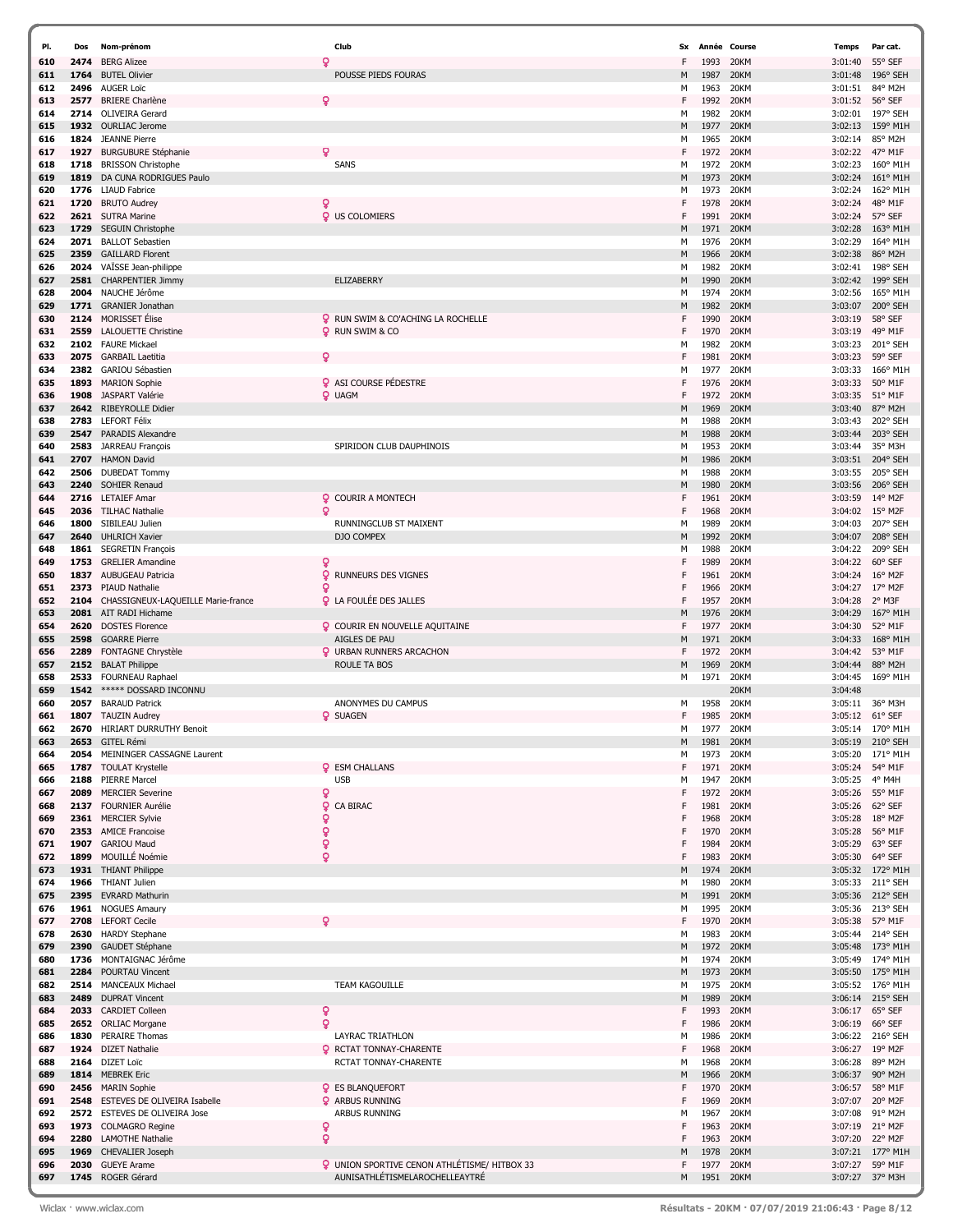| PI.        | Dos  | Nom-prénom                                        | Club                                                | Sx     |              | Année Course | Temps              | Par cat.                      |
|------------|------|---------------------------------------------------|-----------------------------------------------------|--------|--------------|--------------|--------------------|-------------------------------|
| 610        | 2474 | <b>BERG Alizee</b>                                | Q                                                   | F      | 1993         | 20KM         | 3:01:40            | 55° SEF                       |
| 611        | 1764 | <b>BUTEL Olivier</b>                              | POUSSE PIEDS FOURAS                                 | M      | 1987         | 20KM         | 3:01:48            | 196° SEH                      |
| 612        | 2496 | <b>AUGER Loïc</b>                                 |                                                     | м      | 1963         | 20KM         | 3:01:51            | 84° M2H                       |
| 613        | 2577 | <b>BRIERE</b> Charlène                            | Q                                                   | F      | 1992         | 20KM         | 3:01:52            | 56° SEF                       |
| 614        | 2714 | <b>OLIVEIRA Gerard</b>                            |                                                     | м      | 1982         | 20KM         | 3:02:01            | 197° SEH                      |
| 615        | 1932 | <b>OURLIAC Jerome</b>                             |                                                     | M      | 1977         | 20KM         | 3:02:13            | 159° M1H                      |
| 616        | 1824 | <b>JEANNE Pierre</b>                              |                                                     | м      | 1965         | 20KM         | 3:02:14            | 85° M2H                       |
| 617        | 1927 | <b>BURGUBURE Stéphanie</b>                        | Q                                                   | F      | 1972         | 20KM         | 3:02:22            | 47° M1F                       |
| 618        | 1718 | <b>BRISSON Christophe</b>                         | SANS                                                | м      | 1972         | 20KM         | 3:02:23            | 160° M1H                      |
| 619        | 1819 | DA CUNA RODRIGUES Paulo                           |                                                     | M      | 1973         | 20KM         | 3:02:24            | 161° M1H                      |
| 620        | 1776 | <b>LIAUD Fabrice</b>                              |                                                     | м      | 1973         | 20KM         | 3:02:24            | 162° M1H                      |
| 621        | 1720 | <b>BRUTO Audrey</b>                               | Q                                                   | F      | 1978         | 20KM         | 3:02:24            | 48° M1F                       |
| 622        | 2621 | <b>SUTRA Marine</b>                               | <b>Q</b> US COLOMIERS                               | F      | 1991         | 20KM         | 3:02:24            | 57° SEF                       |
| 623        | 1729 | <b>SEGUIN Christophe</b>                          |                                                     | M      | 1971         | 20KM         | 3:02:28            | 163° M1H                      |
| 624        | 2071 | <b>BALLOT Sebastien</b>                           |                                                     | м      | 1976         | 20KM         | 3:02:29            | 164° M1H                      |
| 625        | 2359 | <b>GAILLARD Florent</b>                           |                                                     | M      | 1966         | 20KM         | 3:02:38            | 86° M2H                       |
| 626        | 2024 | VAÏSSE Jean-philippe                              |                                                     | м      | 1982         | 20KM         | 3:02:41            | 198° SEH                      |
| 627        | 2581 | <b>CHARPENTIER Jimmy</b>                          | <b>ELIZABERRY</b>                                   | M      | 1990         | 20KM         | 3:02:42            | 199° SEH                      |
| 628        | 2004 | NAUCHE Jérôme                                     |                                                     | м      | 1974         | 20KM         | 3:02:56            | 165° M1H                      |
| 629        | 1771 | <b>GRANIER Jonathan</b>                           |                                                     | M      | 1982         | 20KM         | 3:03:07            | 200° SEH                      |
| 630        | 2124 | <b>MORISSET</b> Elise                             | <b>Q</b> RUN SWIM & CO'ACHING LA ROCHELLE           | F      | 1990         | 20KM         | 3:03:19            | 58° SEF                       |
| 631        | 2559 | <b>LALOUETTE Christine</b>                        | <b>Q</b> RUN SWIM & CO                              | F      | 1970         | 20KM         | 3:03:19            | 49° M1F                       |
| 632        | 2102 | <b>FAURE Mickael</b>                              |                                                     | М      | 1982         | 20KM         | 3:03:23            | 201° SEH                      |
| 633        | 2075 | <b>GARBAIL Laetitia</b>                           | Q                                                   | F      | 1981         | 20KM         | 3:03:23            | 59° SEF                       |
| 634        | 2382 | GARIOU Sébastien                                  |                                                     | М      | 1977         | 20KM         | 3:03:33            | 166° M1H                      |
| 635        | 1893 | <b>MARION Sophie</b>                              | <b>Q</b> ASI COURSE PÉDESTRE                        | F      | 1976         | 20KM         | 3:03:33            | 50° M1F                       |
| 636        | 1908 | JASPART Valérie                                   | <b>Q</b> UAGM                                       | F      | 1972         | 20KM         | 3:03:35            | 51° M1F                       |
| 637        | 2642 | <b>RIBEYROLLE Didier</b>                          |                                                     | M      | 1969         | 20KM         | 3:03:40            | 87° M2H                       |
| 638        | 2783 | <b>LEFORT Félix</b>                               |                                                     | м      | 1988         | 20KM         | 3:03:43            | 202° SEH                      |
| 639        | 2547 | PARADIS Alexandre                                 |                                                     | M      | 1988         | 20KM         | 3:03:44            | 203° SEH                      |
| 640        | 2583 | JARREAU François                                  | SPIRIDON CLUB DAUPHINOIS                            | м      | 1953         | 20KM         | 3:03:44            | 35° M3H                       |
| 641        | 2707 | <b>HAMON David</b>                                |                                                     | M      | 1986         | 20KM         | 3:03:51            | 204° SEH                      |
| 642        | 2506 | <b>DUBEDAT Tommy</b>                              |                                                     | м      | 1988         | 20KM         | 3:03:55            | 205° SEH                      |
| 643        | 2240 | <b>SOHIER Renaud</b>                              |                                                     | M      | 1980         | 20KM         | 3:03:56            | 206° SEH                      |
| 644        | 2716 | <b>LETAIEF Amar</b>                               | <b>Q</b> COURIR A MONTECH                           | F      | 1961         | 20KM         | 3:03:59            | 14° M2F                       |
| 645        | 2036 | <b>TILHAC Nathalie</b>                            | Q                                                   | F      | 1968         | 20KM         | 3:04:02            | $15^{\circ}$ M2F              |
| 646        | 1800 | SIBILEAU Julien                                   | RUNNINGCLUB ST MAIXENT                              | м      | 1989         | 20KM         | 3:04:03            | 207° SEH                      |
| 647        | 2640 | <b>UHLRICH Xavier</b>                             | DJO COMPEX                                          | M      | 1992         | 20KM         | 3:04:07            | 208° SEH                      |
| 648        | 1861 | <b>SEGRETIN François</b>                          |                                                     | м      | 1988         | 20KM         | 3:04:22            | 209° SEH                      |
| 649        | 1753 | <b>GRELIER Amandine</b>                           | Q                                                   | F      | 1989         | 20KM         | 3:04:22            | 60° SEF                       |
| 650        | 1837 | <b>AUBUGEAU Patricia</b>                          | Q<br><b>RUNNEURS DES VIGNES</b>                     | F      | 1961         | 20KM         | 3:04:24            | $16^{\circ}$ M <sub>2</sub> F |
| 651        | 2373 | <b>PIAUD Nathalie</b>                             | о                                                   | F      | 1966         | 20KM         | 3:04:27            | 17° M2F                       |
| 652        | 2104 | CHASSIGNEUX-LAQUEILLE Marie-france                | <b>Q</b> LA FOULÉE DES JALLES                       | F      | 1957         | 20KM         | 3:04:28            | 2° M3F                        |
| 653        | 2081 | AIT RADI Hichame                                  |                                                     | M      | 1976         | 20KM         | 3:04:29            | 167° M1H                      |
| 654        | 2620 | <b>DOSTES Florence</b>                            | <b>Q</b> COURIR EN NOUVELLE AQUITAINE               | F      | 1977         | 20KM         | 3:04:30            | 52° M1F                       |
| 655        | 2598 | <b>GOARRE Pierre</b>                              | AIGLES DE PAU                                       | M      | 1971         | 20KM         | 3:04:33            | 168° M1H                      |
| 656        | 2289 | FONTAGNE Chrystèle                                | <b>Q</b> URBAN RUNNERS ARCACHON                     | F.     | 1972         | 20KM         | 3:04:42            | 53° M1F                       |
| 657        | 2152 | <b>BALAT Philippe</b>                             | ROULE TA BOS                                        | M      | 1969         | 20KM         | 3:04:44            | 88° M2H                       |
| 658        | 2533 | <b>FOURNEAU Raphael</b>                           |                                                     | м      | 1971         | 20KM         | 3:04:45            | 169° M1H                      |
| 659        | 1542 | ***** DOSSARD INCONNU                             |                                                     |        |              | 20KM         | 3:04:48            |                               |
| 660        | 2057 | <b>BARAUD Patrick</b>                             | ANONYMES DU CAMPUS                                  | м      | 1958         | 20KM         | 3:05:11            | 36° M3H                       |
| 661        | 1807 | <b>TAUZIN Audrey</b>                              | <b>Q</b> SUAGEN                                     | F      | 1985         | 20KM         | 3:05:12            | 61° SEF                       |
| 662        | 2670 | <b>HIRIART DURRUTHY Benoit</b>                    |                                                     | м      | 1977         | 20KM         | 3:05:14            | 170° M1H                      |
| 663        |      | 2653 GITEL Rémi                                   |                                                     | M      | 1981         | 20KM         | 3:05:19            | $210^{\circ}$ SEH             |
| 664        | 2054 | MEININGER CASSAGNE Laurent                        |                                                     | м      | 1973         | 20KM         | 3:05:20            | 171° M1F                      |
| 665        | 1787 | <b>TOULAT Krystelle</b>                           | <b>Q</b> ESM CHALLANS                               | F      | 1971         | 20KM         | 3:05:24            | 54° M1F                       |
| 666        | 2188 | <b>PIERRE Marcel</b>                              | <b>USB</b>                                          | М      | 1947         | 20KM         | 3:05:25            | 4° M4H                        |
| 667        | 2089 | <b>MERCIER Severine</b>                           | ò                                                   | F      | 1972         | 20KM         | 3:05:26            | 55° M1F                       |
| 668        | 2137 | <b>FOURNIER Aurélie</b>                           | ò<br>CA BIRAC                                       | F      | 1981         | 20KM         | 3:05:26            | 62° SEF                       |
| 669        | 2361 | <b>MERCIER Sylvie</b>                             | ó                                                   | F      | 1968         | 20KM         | 3:05:28            | $18^{\circ}$ M2F              |
| 670        |      | 2353 AMICE Francoise                              | ò                                                   | F      | 1970         | 20KM         | 3:05:28            | 56° M1F                       |
| 671        | 1907 | <b>GARIOU Maud</b>                                | ò                                                   | F      | 1984         | 20KM         | 3:05:29            | 63° SEF                       |
| 672        | 1899 | MOUILLÉ Noémie                                    | ö                                                   | F      | 1983         | 20KM         | 3:05:30            | 64° SEF                       |
| 673        |      | 1931 THIANT Philippe                              |                                                     | M      | 1974         | 20KM         | 3:05:32            | 172° M1H                      |
| 674        |      | 1966 THIANT Julien                                |                                                     | м      | 1980         | 20KM         | 3:05:33            | 211° SEH                      |
| 675        | 2395 | <b>EVRARD Mathurin</b>                            |                                                     | M      | 1991         | 20KM         | 3:05:36            | 212° SEH                      |
| 676        | 1961 | <b>NOGUES Amaury</b>                              |                                                     | м      | 1995         | 20KM         | 3:05:36            | 213° SEH                      |
| 677        | 2708 | <b>LEFORT Cecile</b>                              | c                                                   | F      | 1970         | 20KM         | 3:05:38            | 57° M1F                       |
| 678        | 2630 | <b>HARDY Stephane</b>                             |                                                     | м      | 1983         | 20KM         | 3:05:44            | 214° SEH                      |
| 679        | 2390 | GAUDET Stéphane                                   |                                                     | M      | 1972         | 20KM         | 3:05:48            | 173° M1H                      |
| 680        | 1736 | MONTAIGNAC Jérôme                                 |                                                     | м      | 1974         | 20KM         | 3:05:49            | 174° M1H                      |
| 681        | 2284 | POURTAU Vincent                                   |                                                     | M      | 1973         | 20KM         |                    | 3:05:50 175° M1H              |
| 682        |      | 2514 MANCEAUX Michael                             | <b>TEAM KAGOUILLE</b>                               | м      | 1975         | 20KM         | 3:05:52            | 176° M1H                      |
| 683        | 2489 | <b>DUPRAT Vincent</b>                             |                                                     | M      | 1989         | 20KM         | 3:06:14            | 215° SEH                      |
| 684        | 2033 | <b>CARDIET Colleen</b>                            | ò                                                   | F      | 1993         | 20KM         |                    | 3:06:17 65° SEF               |
| 685        | 2652 | <b>ORLIAC Morgane</b>                             | ò                                                   | F      | 1986         | 20KM         | 3:06:19            | 66° SEF                       |
| 686        | 1830 | PERAIRE Thomas                                    | LAYRAC TRIATHLON                                    | м      | 1986         | 20KM         | 3:06:22            | 216° SEH                      |
| 687        |      | 1924 DIZET Nathalie                               | <b>Q</b> RCTAT TONNAY-CHARENTE                      | F      | 1968         | 20KM         |                    | 3:06:27 19° M2F               |
| 688        | 2164 | <b>DIZET Loïc</b>                                 | RCTAT TONNAY-CHARENTE                               | М      | 1968         | 20KM         | 3:06:28            | 89° M2H                       |
| 689<br>690 |      | 1814 MEBREK Eric                                  | <b>Q</b> ES BLANQUEFORT                             | M<br>F | 1966<br>1970 | 20KM<br>20KM | 3:06:37            | 90° M2H                       |
| 691        | 2548 | 2456 MARIN Sophie<br>ESTEVES DE OLIVEIRA Isabelle | <b>Q</b> ARBUS RUNNING                              | F      | 1969         | 20KM         | 3:06:57<br>3:07:07 | 58° M1F<br>20° M2F            |
| 692        | 2572 | ESTEVES DE OLIVEIRA Jose                          | ARBUS RUNNING                                       | М      | 1967         | 20KM         | 3:07:08            | 91° M2H                       |
| 693        |      | 1973 COLMAGRO Regine                              | Q                                                   | F      | 1963         | 20KM         | 3:07:19            | 21° M2F                       |
| 694        | 2280 | <b>LAMOTHE Nathalie</b>                           | ò                                                   | F      | 1963         | 20KM         | 3:07:20            | 22° M2F                       |
| 695        | 1969 | <b>CHEVALIER Joseph</b>                           |                                                     | M      | 1978         | 20KM         |                    | 3:07:21 177° M1H              |
| 696        | 2030 | <b>GUEYE Arame</b>                                | <b>Q</b> UNION SPORTIVE CENON ATHLÉTISME/ HITBOX 33 | F      | 1977         | 20KM         | 3:07:27            | 59° M1F                       |
| 697        |      | 1745 ROGER Gérard                                 | AUNISATHLÉTISMELAROCHELLEAYTRÉ                      | M      | 1951 20KM    |              |                    | 3:07:27 37° M3H               |
|            |      |                                                   |                                                     |        |              |              |                    |                               |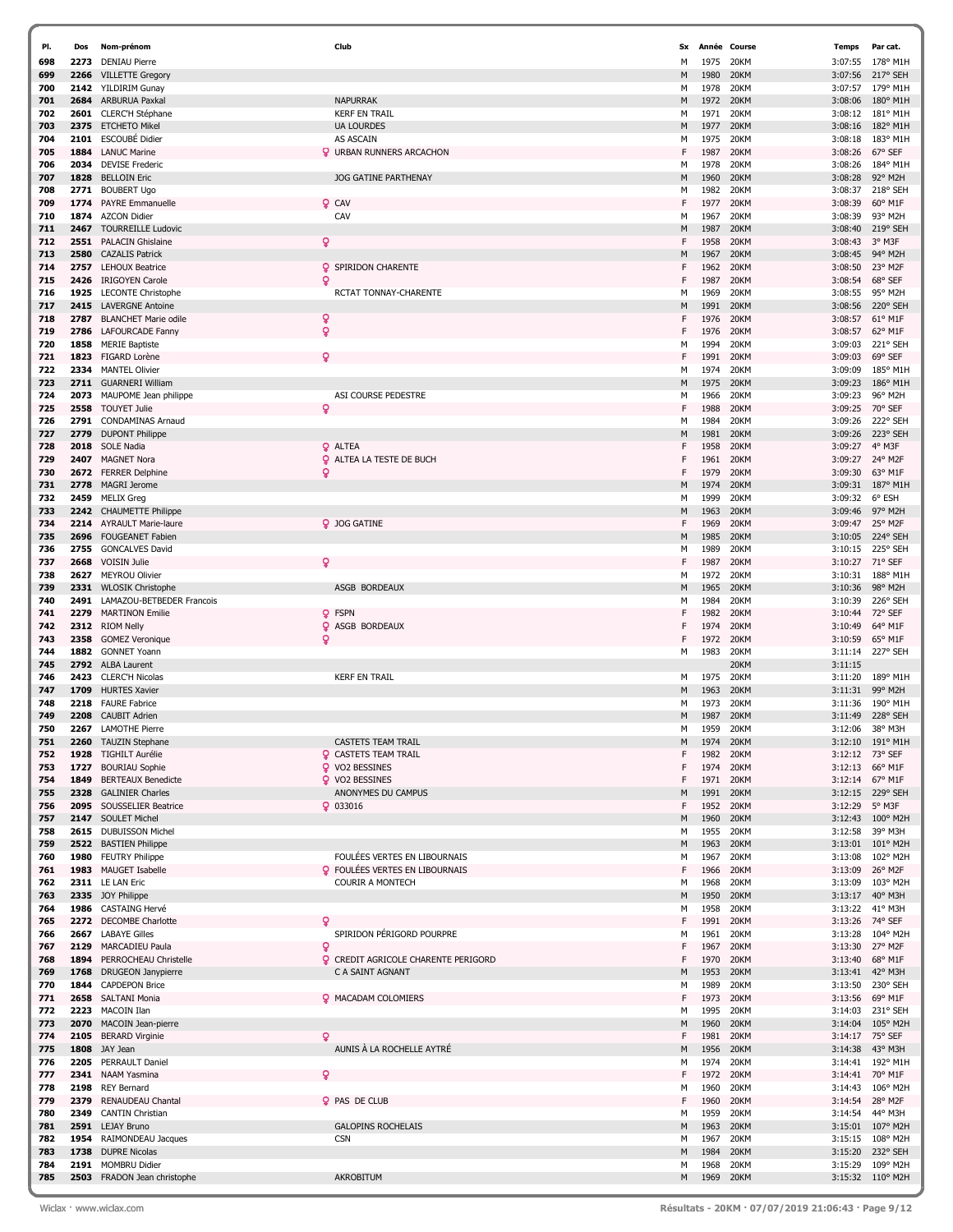| PI. | Dos  | Nom-prénom                     | Club                                       | Sx |      | Année Course | <b>Temps</b> | Par cat.          |
|-----|------|--------------------------------|--------------------------------------------|----|------|--------------|--------------|-------------------|
| 698 | 2273 | <b>DENIAU Pierre</b>           |                                            | м  | 1975 | 20KM         | 3:07:55      | 178° M1H          |
| 699 | 2266 | <b>VILLETTE Gregory</b>        |                                            | М  | 1980 | 20KM         | 3:07:56      | 217° SEH          |
| 700 |      | 2142 YILDIRIM Gunay            |                                            | м  | 1978 | 20KM         | 3:07:57      | 179° M1H          |
| 701 |      | 2684 ARBURUA Paxkal            | <b>NAPURRAK</b>                            | M  | 1972 | 20KM         | 3:08:06      | 180° M1H          |
| 702 |      | 2601 CLERC'H Stéphane          | <b>KERF EN TRAIL</b>                       | M  | 1971 | 20KM         | 3:08:12      | 181° M1H          |
| 703 |      | 2375 ETCHETO Mikel             | <b>UA LOURDES</b>                          | M  | 1977 | 20KM         | 3:08:16      | 182° M1H          |
| 704 | 2101 | ESCOUBÉ Didier                 | AS ASCAIN                                  | м  | 1975 | 20KM         | 3:08:18      | 183° M1H          |
| 705 |      | 1884 LANUC Marine              | <b>Q</b> URBAN RUNNERS ARCACHON            | F  | 1987 | 20KM         | 3:08:26      | 67° SEF           |
| 706 |      | 2034 DEVISE Frederic           |                                            | м  | 1978 | 20KM         | 3:08:26      | 184° M1H          |
| 707 | 1828 | <b>BELLOIN Eric</b>            | <b>JOG GATINE PARTHENAY</b>                | М  | 1960 | 20KM         | 3:08:28      | 92° M2H           |
| 708 |      | 2771 BOUBERT Ugo               |                                            | м  | 1982 | 20KM         | 3:08:37      | 218° SEH          |
| 709 |      | 1774 PAYRE Emmanuelle          | <b>Q</b> CAV                               | F  | 1977 | 20KM         | 3:08:39      | 60° M1F           |
| 710 | 1874 | <b>AZCON Didier</b>            | CAV                                        | м  | 1967 | 20KM         | 3:08:39      | 93° M2H           |
| 711 | 2467 | <b>TOURREILLE Ludovic</b>      |                                            | M  | 1987 | 20KM         | 3:08:40      | 219° SEH          |
| 712 |      | 2551 PALACIN Ghislaine         | ò                                          | F  | 1958 | 20KM         | 3:08:43      | 3° M3F            |
| 713 | 2580 | <b>CAZALIS Patrick</b>         |                                            | М  | 1967 | 20KM         | 3:08:45      | 94° M2H           |
| 714 |      | 2757 LEHOUX Beatrice           | <b>Q</b> SPIRIDON CHARENTE                 | F  | 1962 | 20KM         | 3:08:50      | 23° M2F           |
| 715 | 2426 | <b>IRIGOYEN Carole</b>         | ö                                          | F  | 1987 | 20KM         | 3:08:54      | 68° SEF           |
| 716 |      | 1925 LECONTE Christophe        | RCTAT TONNAY-CHARENTE                      | м  | 1969 | 20KM         | 3:08:55      | 95° M2H           |
| 717 |      | 2415 LAVERGNE Antoine          |                                            | М  | 1991 | 20KM         | 3:08:56      | 220° SEH          |
| 718 | 2787 | <b>BLANCHET Marie odile</b>    | ò                                          | F  | 1976 | 20KM         | 3:08:57      | 61° M1F           |
| 719 |      | 2786 LAFOURCADE Fanny          | ó                                          | F  | 1976 | 20KM         | 3:08:57      | 62° M1F           |
| 720 |      | 1858 MERIE Baptiste            |                                            | м  | 1994 | 20KM         | 3:09:03      | 221° SEH          |
| 721 |      | 1823 FIGARD Lorène             | ó                                          | F  | 1991 | 20KM         | 3:09:03      | 69° SEF           |
| 722 |      | 2334 MANTEL Olivier            |                                            | м  | 1974 | 20KM         | 3:09:09      | 185° M1H          |
| 723 |      | 2711 GUARNERI William          |                                            | М  | 1975 | 20KM         | 3:09:23      | 186° M1H          |
| 724 |      | 2073 MAUPOME Jean philippe     | ASI COURSE PEDESTRE                        | м  | 1966 | 20KM         | 3:09:23      | 96° M2H           |
| 725 |      | 2558 TOUYET Julie              | ó                                          | F  | 1988 | 20KM         | 3:09:25      | 70° SEF           |
| 726 |      | 2791 CONDAMINAS Arnaud         |                                            | м  | 1984 | 20KM         | 3:09:26      | 222° SEH          |
| 727 |      | 2779 DUPONT Philippe           |                                            | М  | 1981 | 20KM         | 3:09:26      | 223° SEH          |
| 728 |      | 2018 SOLE Nadia                | <b>Q</b> ALTEA                             | F  | 1958 | 20KM         | 3:09:27      | 4° M3F            |
| 729 |      | 2407 MAGNET Nora               | Q<br>ALTEA LA TESTE DE BUCH                | F  | 1961 | 20KM         | 3:09:27      | 24° M2F           |
| 730 |      | 2672 FERRER Delphine           | ó                                          | F  | 1979 | 20KM         | 3:09:30      | 63° M1F           |
| 731 | 2778 | <b>MAGRI Jerome</b>            |                                            | М  | 1974 | 20KM         | 3:09:31      | 187° M1H          |
| 732 |      | 2459 MELIX Greg                |                                            | м  | 1999 | 20KM         | 3:09:32      | 6° ESH            |
| 733 |      | 2242 CHAUMETTE Philippe        |                                            | M  | 1963 | 20KM         | 3:09:46      | 97° M2H           |
| 734 |      | 2214 AYRAULT Marie-laure       | 9 JOG GATINE                               | F  | 1969 | 20KM         | 3:09:47      | 25° M2F           |
| 735 |      | 2696 FOUGEANET Fabien          |                                            | М  | 1985 | 20KM         | 3:10:05      | 224° SEH          |
| 736 |      | 2755 GONCALVES David           |                                            | м  | 1989 | 20KM         | 3:10:15      | 225° SEH          |
| 737 | 2668 | <b>VOISIN Julie</b>            | Q                                          | F  | 1987 | 20KM         | 3:10:27      | 71° SEF           |
| 738 |      | 2627 MEYROU Olivier            |                                            | м  | 1972 | 20KM         | 3:10:31      | 188° M1H          |
| 739 |      | 2331 WLOSIK Christophe         | ASGB BORDEAUX                              | М  | 1965 | 20KM         | 3:10:36      | 98° M2H           |
| 740 |      | 2491 LAMAZOU-BETBEDER Francois |                                            | м  | 1984 | 20KM         | 3:10:39      | 226° SEH          |
| 741 |      | 2279 MARTINON Emilie           | <b>Q</b> FSPN                              | F  | 1982 | 20KM         | 3:10:44      | 72° SEF           |
| 742 |      | 2312 RIOM Nelly                | Q<br>ASGB BORDEAUX                         | F  | 1974 | 20KM         | 3:10:49      | 64° M1F           |
| 743 | 2358 | <b>GOMEZ Veronique</b>         | ó                                          | F  | 1972 | 20KM         | 3:10:59      | 65° M1F           |
| 744 |      | 1882 GONNET Yoann              |                                            | м  | 1983 | 20KM         | 3:11:14      | 227° SEH          |
| 745 |      | 2792 ALBA Laurent              |                                            |    |      | 20KM         | 3:11:15      |                   |
| 746 |      | 2423 CLERC'H Nicolas           | <b>KERF EN TRAIL</b>                       | M  | 1975 | 20KM         | 3:11:20      | 189° M1H          |
| 747 | 1709 | <b>HURTES Xavier</b>           |                                            | М  | 1963 | 20KM         | 3:11:31      | 99° M2H           |
| 748 |      | 2218 FAURE Fabrice             |                                            | M  | 1973 | 20KM         | 3:11:36      | 190° M1H          |
| 749 |      | 2208 CAUBIT Adrien             |                                            | M  | 1987 | 20KM         | 3:11:49      | 228° SEH          |
| 750 |      | 2267 LAMOTHE Pierre            |                                            | м  | 1959 | <b>20KM</b>  | 3:12:06      | 38° M3H           |
| 751 |      | 2260 TAUZIN Stephane           | <b>CASTETS TEAM TRAIL</b>                  | M  | 1974 | 20KM         | 3:12:10      | 191° M1H          |
| 752 |      | 1928 TIGHILT Aurélie           | <b>Q</b> CASTETS TEAM TRAIL                | F  | 1982 | 20KM         |              | 3:12:12 73° SEF   |
| 753 | 1727 | <b>BOURIAU Sophie</b>          | <b>Q</b> VO2 BESSINES                      | F  | 1974 | 20KM         | 3:12:13      | 66° M1F           |
| 754 | 1849 | <b>BERTEAUX Benedicte</b>      | <b>Q</b> VO2 BESSINES                      | F  | 1971 | 20KM         |              | 3:12:14 67° M1F   |
| 755 |      | 2328 GALINIER Charles          | ANONYMES DU CAMPUS                         | М  | 1991 | 20KM         | 3:12:15      | 229° SEH          |
| 756 |      | 2095 SOUSSELIER Beatrice       | $Q$ 033016                                 | F  | 1952 | 20KM         | 3:12:29      | 5° M3F            |
| 757 |      | 2147 SOULET Michel             |                                            | M  | 1960 | 20KM         | 3:12:43      | $100^{\circ}$ M2H |
| 758 |      | 2615 DUBUISSON Michel          |                                            | м  | 1955 | 20KM         | 3:12:58      | 39° M3H           |
| 759 |      | 2522 BASTIEN Philippe          |                                            | M  | 1963 | 20KM         | 3:13:01      | 101° M2H          |
| 760 |      | 1980 FEUTRY Philippe           | FOULÉES VERTES EN LIBOURNAIS               | м  | 1967 | 20KM         | 3:13:08      | 102° M2H          |
| 761 |      | 1983 MAUGET Isabelle           | <b>Q</b> FOULÉES VERTES EN LIBOURNAIS      | F  | 1966 | 20KM         | 3:13:09      | 26° M2F           |
| 762 |      | 2311 LE LAN Eric               | <b>COURIR A MONTECH</b>                    | м  | 1968 | 20KM         | 3:13:09      | 103° M2H          |
| 763 |      | 2335 JOY Philippe              |                                            | М  | 1950 | 20KM         | 3:13:17      | 40° M3H           |
| 764 |      | 1986 CASTAING Hervé            |                                            | м  | 1958 | 20KM         | 3:13:22      | 41° M3H           |
| 765 |      | 2272 DECOMBE Charlotte         | ç                                          | F  | 1991 | 20KM         | 3:13:26      | 74° SEF           |
| 766 |      | 2667 LABAYE Gilles             | SPIRIDON PÉRIGORD POURPRE                  | м  | 1961 | 20KM         | 3:13:28      | 104° M2H          |
| 767 |      | 2129 MARCADIEU Paula           | ð                                          | F  | 1967 | 20KM         | 3:13:30      | 27° M2F           |
| 768 |      | 1894 PERROCHEAU Christelle     | <b>Q</b> CREDIT AGRICOLE CHARENTE PERIGORD | F  | 1970 | 20KM         | 3:13:40      | 68° M1F           |
| 769 |      | 1768 DRUGEON Janypierre        | C A SAINT AGNANT                           | М  | 1953 | 20KM         | 3:13:41      | 42° M3H           |
| 770 |      | 1844 CAPDEPON Brice            |                                            | м  | 1989 | 20KM         | 3:13:50      | 230° SEH          |
| 771 |      | 2658 SALTANI Monia             | <b>Q</b> MACADAM COLOMIERS                 | F  | 1973 | 20KM         | 3:13:56      | 69° M1F           |
| 772 |      | 2223 MACOIN Ilan               |                                            | м  | 1995 | 20KM         | 3:14:03      | 231° SEH          |
| 773 |      | 2070 MACOIN Jean-pierre        |                                            | М  | 1960 | 20KM         | 3:14:04      | 105° M2H          |
| 774 |      | 2105 BERARD Virginie           | ò                                          | F  | 1981 | 20KM         | 3:14:17      | 75° SEF           |
| 775 |      | 1808 JAY Jean                  | AUNIS À LA ROCHELLE AYTRÉ                  | M  | 1956 | 20KM         | 3:14:38      | 43° M3H           |
| 776 |      | 2205 PERRAULT Daniel           |                                            | м  | 1974 | 20KM         | 3:14:41      | 192° M1H          |
| 777 |      | 2341 NAAM Yasmina              |                                            | F  | 1972 | 20KM         | 3:14:41      | 70° M1F           |
| 778 |      | 2198 REY Bernard               |                                            | м  | 1960 | 20KM         | 3:14:43      | 106° M2H          |
| 779 |      | 2379 RENAUDEAU Chantal         | <b>Q</b> PAS DE CLUB                       | F  | 1960 | 20KM         | 3:14:54      | 28° M2F           |
| 780 |      | 2349 CANTIN Christian          |                                            | м  | 1959 | 20KM         | 3:14:54      | 44° M3H           |
| 781 |      | 2591 LEJAY Bruno               | <b>GALOPINS ROCHELAIS</b>                  | М  | 1963 | 20KM         | 3:15:01      | 107° M2H          |
| 782 |      | 1954 RAIMONDEAU Jacques        | <b>CSN</b>                                 | м  | 1967 | 20KM         | 3:15:15      | 108° M2H          |
| 783 |      | 1738 DUPRE Nicolas             |                                            | М  | 1984 | 20KM         | 3:15:20      | 232° SEH          |
| 784 |      | 2191 MOMBRU Didier             |                                            | м  | 1968 | 20KM         | 3:15:29      | 109° M2H          |
| 785 |      | 2503 FRADON Jean christophe    | AKROBITUM                                  | M  | 1969 | 20KM         |              | 3:15:32 110° M2H  |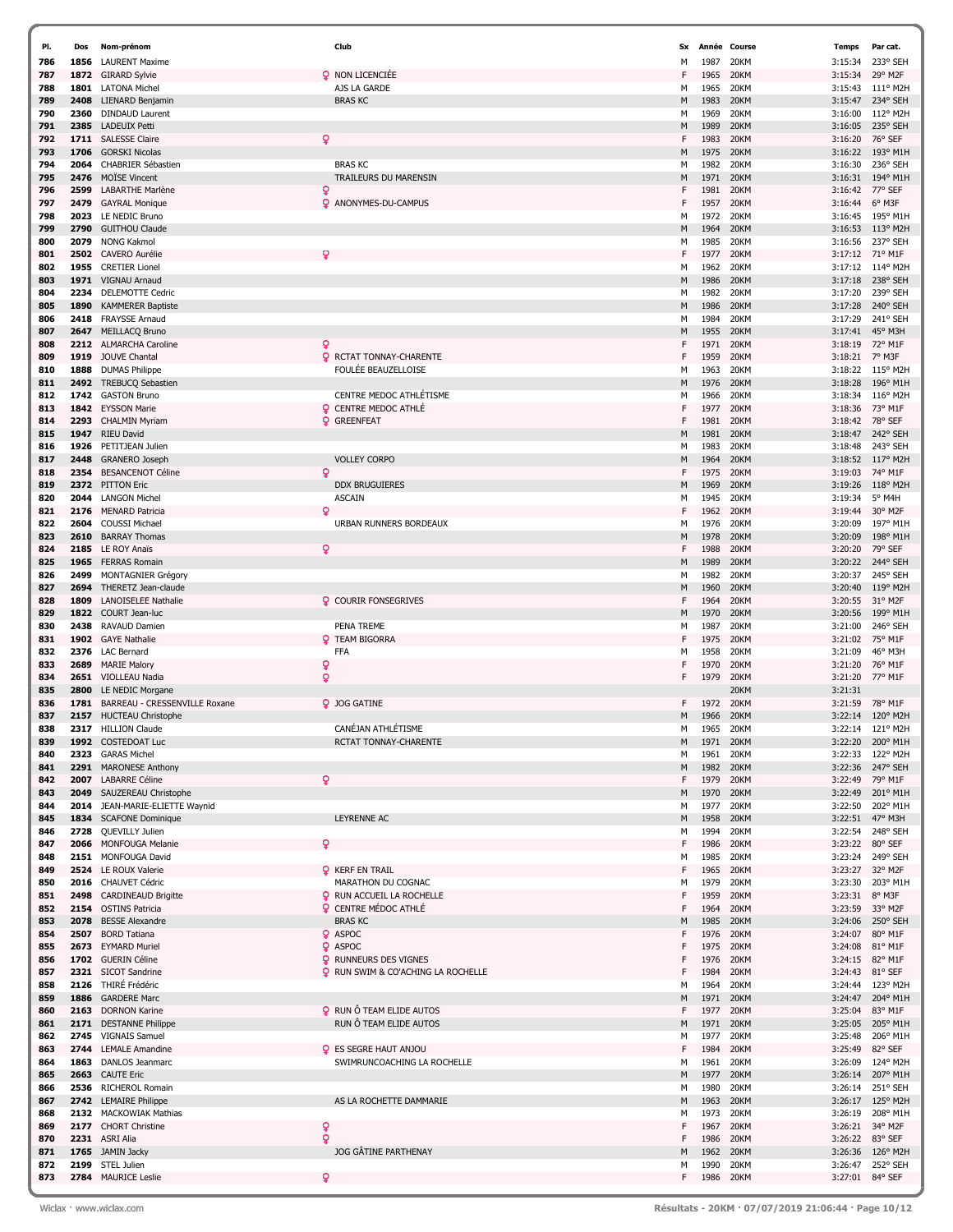| PI. | Dos  | Nom-prénom                     | Club                                      | Sx | Année | Course    | <b>Temps</b> | Par cat.          |
|-----|------|--------------------------------|-------------------------------------------|----|-------|-----------|--------------|-------------------|
| 786 | 1856 | <b>LAURENT Maxime</b>          |                                           | M  | 1987  | 20KM      | 3:15:34      | 233° SEH          |
| 787 | 1872 | <b>GIRARD Sylvie</b>           | <b>Q</b> NON LICENCIÉE                    | F  | 1965  | 20KM      | 3:15:34      | 29° M2F           |
| 788 | 1801 | <b>LATONA Michel</b>           | AJS LA GARDE                              | М  | 1965  | 20KM      | 3:15:43      | 111° M2H          |
| 789 | 2408 |                                | <b>BRAS KC</b>                            | M  | 1983  | 20KM      | 3:15:47      | 234° SEH          |
|     |      | LIENARD Benjamin               |                                           |    |       |           |              |                   |
| 790 | 2360 | <b>DINDAUD Laurent</b>         |                                           | м  | 1969  | 20KM      | 3:16:00      | 112° M2H          |
| 791 | 2385 | <b>LADEUIX Petti</b>           |                                           | M  | 1989  | 20KM      | 3:16:05      | 235° SEH          |
| 792 | 1711 | <b>SALESSE Claire</b>          | Q                                         | F  | 1983  | 20KM      | 3:16:20      | 76° SEF           |
| 793 | 1706 | <b>GORSKI Nicolas</b>          |                                           | М  | 1975  | 20KM      | 3:16:22      | 193° M1H          |
| 794 | 2064 | CHABRIER Sébastien             | <b>BRAS KC</b>                            | M  | 1982  | 20KM      | 3:16:30      | 236° SEH          |
| 795 | 2476 | <b>MOÏSE Vincent</b>           | TRAILEURS DU MARENSIN                     | M  | 1971  | 20KM      | 3:16:31      | 194° M1H          |
| 796 | 2599 | LABARTHE Marlène               | Q                                         | F  | 1981  | 20KM      | 3:16:42      | 77° SEF           |
| 797 | 2479 | <b>GAYRAL Monique</b>          | <b>Q</b> ANONYMES-DU-CAMPUS               | F  | 1957  | 20KM      | 3:16:44      | 6° M3F            |
| 798 | 2023 | LE NEDIC Bruno                 |                                           | М  | 1972  | 20KM      | 3:16:45      | 195° M1H          |
| 799 | 2790 | <b>GUITHOU Claude</b>          |                                           | M  | 1964  | 20KM      | 3:16:53      | 113° M2H          |
| 800 | 2079 | <b>NONG Kakmol</b>             |                                           | М  | 1985  | 20KM      | 3:16:56      | 237° SEH          |
| 801 | 2502 | <b>CAVERO Aurélie</b>          | Q                                         | F  | 1977  | 20KM      | 3:17:12      | 71° M1F           |
|     |      |                                |                                           |    |       |           |              |                   |
| 802 | 1955 | <b>CRETIER Lionel</b>          |                                           | М  | 1962  | 20KM      | 3:17:12      | 114° M2H          |
| 803 | 1971 | VIGNAU Arnaud                  |                                           | M  | 1986  | 20KM      | 3:17:18      | 238° SEH          |
| 804 | 2234 | DELEMOTTE Cedric               |                                           | м  | 1982  | 20KM      | 3:17:20      | 239° SEH          |
| 805 | 1890 | <b>KAMMERER Baptiste</b>       |                                           | M  | 1986  | 20KM      | 3:17:28      | 240° SEH          |
| 806 | 2418 | FRAYSSE Arnaud                 |                                           | М  | 1984  | 20KM      | 3:17:29      | 241° SEH          |
| 807 | 2647 | MEILLACQ Bruno                 |                                           | M  | 1955  | 20KM      | 3:17:41      | 45° M3H           |
| 808 | 2212 | <b>ALMARCHA Caroline</b>       | Q                                         | F  | 1971  | 20KM      | 3:18:19      | 72° M1F           |
| 809 | 1919 | <b>JOUVE Chantal</b>           | <b>Q</b> RCTAT TONNAY-CHARENTE            | F  | 1959  | 20KM      | 3:18:21      | 7° M3F            |
| 810 | 1888 | <b>DUMAS Philippe</b>          | FOULÉE BEAUZELLOISE                       | M  | 1963  | 20KM      | 3:18:22      | 115° M2H          |
| 811 | 2492 | <b>TREBUCQ Sebastien</b>       |                                           | M  | 1976  | 20KM      | 3:18:28      | 196° M1H          |
|     |      |                                | <b>CENTRE MEDOC ATHLÉTISME</b>            |    |       |           |              |                   |
| 812 | 1742 | <b>GASTON Bruno</b>            |                                           | м  | 1966  | 20KM      | 3:18:34      | 116° M2H          |
| 813 | 1842 | <b>EYSSON Marie</b>            | <b>Q</b> CENTRE MEDOC ATHLE               | F  | 1977  | 20KM      | 3:18:36      | 73° M1F           |
| 814 | 2293 | <b>CHALMIN Myriam</b>          | <b>Q</b> GREENFEAT                        | F  | 1981  | 20KM      | 3:18:42      | 78° SEF           |
| 815 | 1947 | <b>RIEU David</b>              |                                           | M  | 1981  | 20KM      | 3:18:47      | 242° SEH          |
| 816 | 1926 | PETITJEAN Julien               |                                           | M  | 1983  | 20KM      | 3:18:48      | 243° SEH          |
| 817 | 2448 | GRANERO Joseph                 | <b>VOLLEY CORPO</b>                       | M  | 1964  | 20KM      | 3:18:52      | 117° M2H          |
| 818 | 2354 | <b>BESANCENOT Céline</b>       | $\mathbf{Q}$                              | F  | 1975  | 20KM      | 3:19:03      | 74° M1F           |
| 819 | 2372 | <b>PITTON Eric</b>             | <b>DDX BRUGUIERES</b>                     | M  | 1969  | 20KM      | 3:19:26      | 118° M2H          |
| 820 | 2044 | <b>LANGON Michel</b>           | <b>ASCAIN</b>                             | М  | 1945  | 20KM      | 3:19:34      | 5° M4H            |
| 821 | 2176 | <b>MENARD Patricia</b>         | Q                                         | F  | 1962  | 20KM      | 3:19:44      | 30° M2F           |
| 822 | 2604 | <b>COUSSI Michael</b>          | URBAN RUNNERS BORDEAUX                    | м  | 1976  | 20KM      | 3:20:09      | 197° M1H          |
|     | 2610 |                                |                                           |    | 1978  | 20KM      |              | 198° M1H          |
| 823 |      | <b>BARRAY Thomas</b>           |                                           | M  |       |           | 3:20:09      |                   |
| 824 | 2185 | LE ROY Anaïs                   | $\mathbf{Q}$                              | F  | 1988  | 20KM      | 3:20:20      | 79° SEF           |
| 825 | 1965 | <b>FERRAS Romain</b>           |                                           | М  | 1989  | 20KM      | 3:20:22      | 244° SEH          |
| 826 | 2499 | MONTAGNIER Grégory             |                                           | м  | 1982  | 20KM      | 3:20:37      | 245° SEH          |
| 827 | 2694 | THERETZ Jean-claude            |                                           | M  | 1960  | 20KM      | 3:20:40      | 119° M2H          |
| 828 | 1809 | <b>LANOISELEE Nathalie</b>     | <b>Q</b> COURIR FONSEGRIVES               | F  | 1964  | 20KM      | 3:20:55      | 31° M2F           |
| 829 | 1822 | COURT Jean-luc                 |                                           | M  | 1970  | 20KM      | 3:20:56      | 199° M1H          |
| 830 | 2438 | RAVAUD Damien                  | PENA TREME                                | M  | 1987  | 20KM      | 3:21:00      | 246° SEH          |
| 831 | 1902 | <b>GAYE Nathalie</b>           | <b>Q</b> TEAM BIGORRA                     | F  | 1975  | 20KM      | 3:21:02      | 75° M1F           |
| 832 | 2376 | LAC Bernard                    | <b>FFA</b>                                | M  | 1958  | 20KM      | 3:21:09      | 46° M3H           |
| 833 | 2689 | <b>MARIE Malory</b>            | Q                                         | F  | 1970  | 20KM      | 3:21:20      | 76° M1F           |
|     |      | VIOLLEAU Nadia                 | $\mathbf{Q}$                              | F  | 1979  | 20KM      |              | 77° M1F           |
| 834 | 2651 |                                |                                           |    |       |           | 3:21:20      |                   |
| 835 | 2800 | LE NEDIC Morgane               |                                           |    |       | 20KM      | 3:21:31      |                   |
| 836 | 1781 | BARREAU - CRESSENVILLE Roxane  | 2 JOG GATINE                              | F. | 1972  | 20KM      | 3:21:59      | 78° M1F           |
| 837 | 2157 | <b>HUCTEAU Christophe</b>      |                                           | M  | 1966  | 20KM      | 3:22:14      | 120° M2H          |
| 838 |      | 2317 HILLION Claude            | CANÉJAN ATHLÉTISME                        | М  | 1965  | 20KM      | 3:22:14      | 121° M2H          |
| 839 |      | 1992 COSTEDOAT Luc             | RCTAT TONNAY-CHARENTE                     | M  | 1971  | 20KM      | 3:22:20      | 200° M1H          |
| 840 |      | 2323 GARAS Michel              |                                           | м  | 1961  | 20KM      | 3:22:33      | 122° M2H          |
| 841 | 2291 | <b>MARONESE Anthony</b>        |                                           | M  | 1982  | 20KM      | 3:22:36      | 247° SEH          |
| 842 | 2007 | <b>LABARRE Céline</b>          | $\mathbf Q$                               | F. | 1979  | 20KM      |              | 3:22:49 79° M1F   |
| 843 | 2049 | SAUZEREAU Christophe           |                                           | М  | 1970  | 20KM      | 3:22:49      | 201° M1H          |
| 844 |      | 2014 JEAN-MARIE-ELIETTE Waynid |                                           | м  | 1977  | 20KM      | 3:22:50      | 202° M1H          |
| 845 |      | 1834 SCAFONE Dominique         | LEYRENNE AC                               | М  | 1958  | 20KM      |              | 3:22:51 47° M3H   |
| 846 | 2728 | QUEVILLY Julien                |                                           | м  | 1994  | 20KM      |              | 3:22:54 248° SEH  |
| 847 |      | 2066 MONFOUGA Melanie          | Q                                         | F  | 1986  | 20KM      |              | 3:23:22 80° SEF   |
| 848 |      | 2151 MONFOUGA David            |                                           | М  | 1985  | 20KM      |              | 3:23:24 249° SEH  |
| 849 |      | 2524 LE ROUX Valerie           | <b>Q</b> KERF EN TRAIL                    | F  | 1965  | 20KM      |              | 3:23:27 32° M2F   |
| 850 |      | 2016 CHAUVET Cédric            | MARATHON DU COGNAC                        | M  | 1979  | 20KM      |              | 3:23:30 203° M1H  |
|     | 2498 | <b>CARDINEAUD Brigitte</b>     | <b>Q</b> RUN ACCUEIL LA ROCHELLE          | F  | 1959  | 20KM      | 3:23:31      | 8° M3F            |
| 851 |      |                                |                                           | F  |       |           |              |                   |
| 852 |      | 2154 OSTINS Patricia           | <b>Q</b> CENTRE MÉDOC ATHLÉ               |    | 1964  | 20KM      | 3:23:59      | 33° M2F           |
| 853 | 2078 | <b>BESSE Alexandre</b>         | <b>BRAS KC</b>                            | M  | 1985  | 20KM      |              | 3:24:06 250° SEH  |
| 854 | 2507 | <b>BORD Tatiana</b>            | <b>Q</b> ASPOC                            | F  | 1976  | 20KM      | 3:24:07      | 80° M1F           |
| 855 |      | 2673 EYMARD Muriel             | <b>Q</b> ASPOC                            | F  | 1975  | 20KM      | 3:24:08      | 81° M1F           |
| 856 |      | 1702 GUERIN Céline             | <b>Q</b> RUNNEURS DES VIGNES              | F  | 1976  | 20KM      | 3:24:15      | 82° M1F           |
| 857 |      | 2321 SICOT Sandrine            | <b>Q</b> RUN SWIM & CO'ACHING LA ROCHELLE | F  | 1984  | 20KM      | 3:24:43      | 81° SEF           |
| 858 | 2126 | THIRÉ Frédéric                 |                                           | M  | 1964  | 20KM      |              | 3:24:44 123° M2H  |
| 859 | 1886 | <b>GARDERE Marc</b>            |                                           | М  | 1971  | 20KM      | 3:24:47      | 204° M1H          |
| 860 |      | 2163 DORNON Karine             | <b>Q</b> RUN Ô TEAM ELIDE AUTOS           | F  | 1977  | 20KM      | 3:25:04      | 83° M1F           |
| 861 |      | 2171 DESTANNE Philippe         | RUN Ô TEAM ELIDE AUTOS                    | M  | 1971  | 20KM      | 3:25:05      | 205° M1H          |
| 862 | 2745 | <b>VIGNAIS Samuel</b>          |                                           | М  | 1977  | 20KM      | 3:25:48      | 206° M1H          |
| 863 |      | 2744 LEMALE Amandine           | <b>Q</b> ES SEGRE HAUT ANJOU              | F  | 1984  | 20KM      | 3:25:49      | 82° SEF           |
| 864 |      | 1863 DANLOS Jeanmarc           | SWIMRUNCOACHING LA ROCHELLE               | М  | 1961  | 20KM      | 3:26:09      | 124° M2H          |
|     |      |                                |                                           | М  |       | 20KM      |              |                   |
| 865 | 2663 | <b>CAUTE Eric</b>              |                                           |    | 1977  |           |              | 3:26:14 207° M1H  |
| 866 |      | 2536 RICHEROL Romain           |                                           | м  | 1980  | 20KM      |              | 3:26:14 251° SEH  |
| 867 |      | 2742 LEMAIRE Philippe          | AS LA ROCHETTE DAMMARIE                   | М  | 1963  | 20KM      |              | 3:26:17 125° M2H  |
| 868 |      | 2132 MACKOWIAK Mathias         |                                           | м  | 1973  | 20KM      | 3:26:19      | 208° M1H          |
| 869 |      | 2177 CHORT Christine           | Q                                         | F  | 1967  | 20KM      |              | 3:26:21 34° M2F   |
| 870 |      | 2231 ASRI Alia                 | $\mathbf{Q}$                              | F  | 1986  | 20KM      | 3:26:22      | 83° SEF           |
| 871 |      | 1765 JAMIN Jacky               | JOG GÂTINE PARTHENAY                      | М  | 1962  | 20KM      | 3:26:36      | $126^{\circ}$ M2H |
| 872 |      | 2199 STEL Julien               |                                           | М  | 1990  | 20KM      | 3:26:47      | 252° SEH          |
| 873 |      | 2784 MAURICE Leslie            | ۰                                         | F  |       | 1986 20KM |              | 3:27:01 84° SEF   |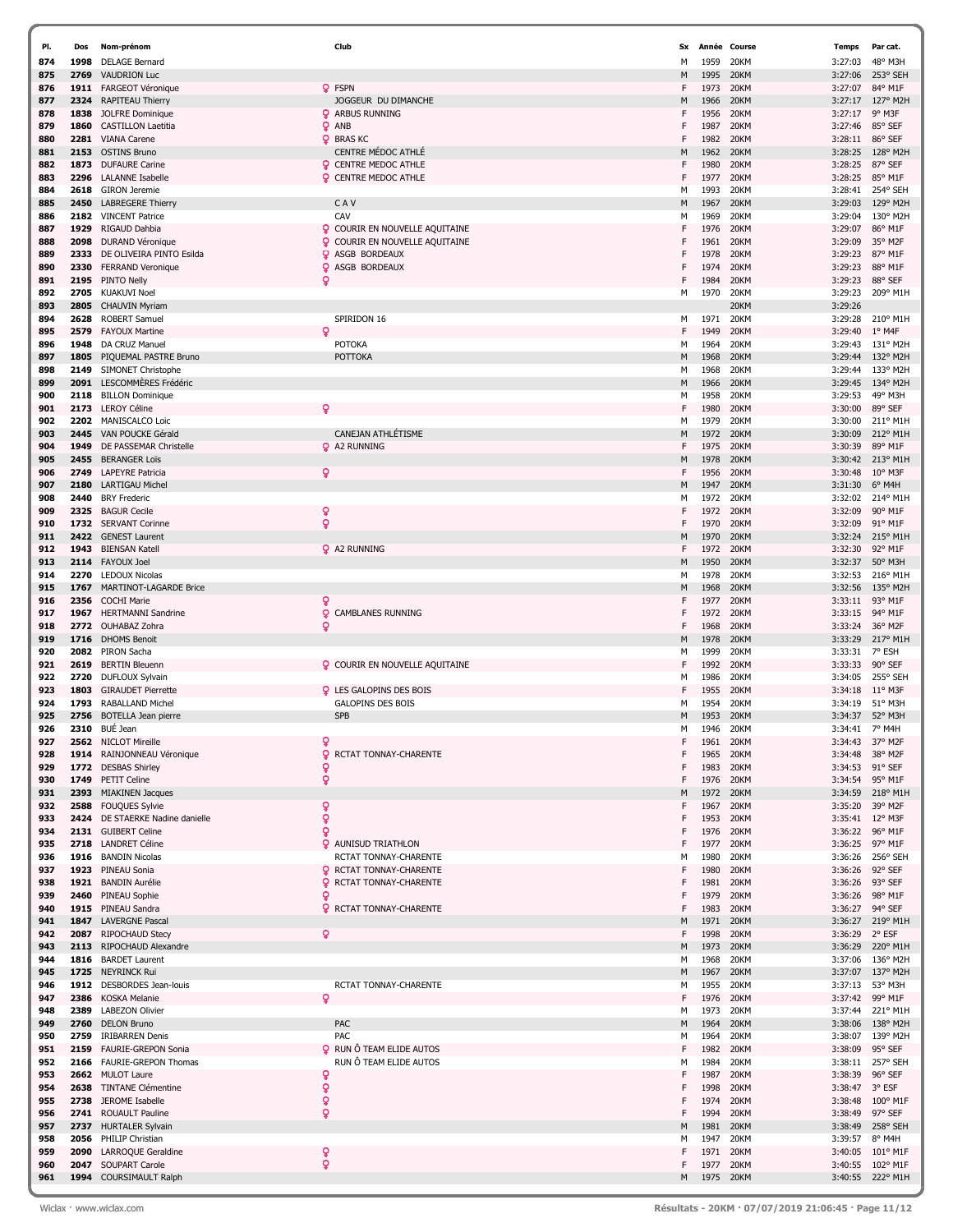| PI.        | Dos  | Nom-prénom                                          |        | Club                                                       | Sx     |              | Année Course | <b>Temps</b>       | Par cat.            |
|------------|------|-----------------------------------------------------|--------|------------------------------------------------------------|--------|--------------|--------------|--------------------|---------------------|
| 874        | 1998 | <b>DELAGE Bernard</b>                               |        |                                                            | м      | 1959         | 20KM         | 3:27:03            | 48° M3H             |
| 875        | 2769 | <b>VAUDRION Luc</b>                                 |        |                                                            | M      | 1995         | 20KM         | 3:27:06            | 253° SEH            |
| 876        |      | 1911 FARGEOT Véronique                              |        | Q FSPN                                                     | F      | 1973         | 20KM         | 3:27:07            | 84° M1F             |
| 877        | 2324 | RAPITEAU Thierry                                    |        | JOGGEUR DU DIMANCHE                                        | М      | 1966         | 20KM         | 3:27:17            | 127° M2H            |
| 878        | 1838 | JOLFRE Dominique                                    |        | <b>Q</b> ARBUS RUNNING                                     | F      | 1956         | 20KM         | 3:27:17            | 9° M3F              |
| 879        | 1860 | <b>CASTILLON Laetitia</b>                           |        | <b>Q</b> ANB                                               | F      | 1987         | 20KM         | 3:27:46            | 85° SEF             |
| 880        | 2281 | <b>VIANA Carene</b>                                 |        | <b>Q</b> BRAS KC                                           | F      | 1982         | 20KM         | 3:28:11            | 86° SEF             |
| 881        | 2153 | <b>OSTINS Bruno</b>                                 |        | <b>CENTRE MÉDOC ATHLÉ</b>                                  | М      | 1962         | 20KM         | 3:28:25            | 128° M2H            |
| 882        |      | 1873 DUFAURE Carine                                 |        | <b>Q</b> CENTRE MEDOC ATHLE                                | F      | 1980         | 20KM         | 3:28:25            | 87° SEF             |
| 883        | 2296 | <b>LALANNE Isabelle</b>                             |        | <b>Q</b> CENTRE MEDOC ATHLE                                | F      | 1977         | 20KM         | 3:28:25            | 85° M1F             |
| 884        | 2618 | <b>GIRON</b> Jeremie                                |        |                                                            | м      | 1993         | 20KM         | 3:28:41            | 254° SEH            |
| 885        | 2450 | <b>LABREGERE Thierry</b>                            |        | CAV                                                        | M      | 1967         | 20KM         | 3:29:03            | 129° M2H            |
| 886        |      | 2182 VINCENT Patrice                                |        | CAV                                                        | М      | 1969         | 20KM         | 3:29:04            | 130° M2H            |
| 887        | 1929 | RIGAUD Dahbia                                       |        | <b>Q</b> COURIR EN NOUVELLE AQUITAINE                      | F      | 1976         | 20KM         | 3:29:07            | 86° M1F             |
| 888        | 2098 | DURAND Véronique                                    |        | <b>Q</b> COURIR EN NOUVELLE AQUITAINE                      | F      | 1961         | 20KM         | 3:29:09            | 35° M2F             |
| 889        | 2333 | DE OLIVEIRA PINTO Esilda                            |        | <b>Q</b> ASGB BORDEAUX                                     |        | 1978         | 20KM         | 3:29:23            | 87° M1F             |
| 890        | 2330 | <b>FERRAND Veronique</b>                            |        | <b>Q</b> ASGB BORDEAUX                                     | F      | 1974         | 20KM         | 3:29:23            | 88° M1F             |
| 891        |      | 2195 PINTO Nelly                                    | Q      |                                                            | F      | 1984         | 20KM         | 3:29:23            | 88° SEF             |
| 892        | 2705 | <b>KUAKUVI Noel</b>                                 |        |                                                            | М      | 1970         | 20KM         | 3:29:23            | 209° M1H            |
| 893        |      | 2805 CHAUVIN Myriam                                 |        |                                                            |        |              | 20KM         | 3:29:26            |                     |
| 894        | 2628 | <b>ROBERT Samuel</b>                                |        | SPIRIDON 16                                                | М      | 1971         | 20KM         | 3:29:28            | 210° M1H            |
| 895        | 2579 | <b>FAYOUX Martine</b>                               | Q      |                                                            | F      | 1949         | 20KM         | 3:29:40            | $1^{\circ}$ M4F     |
| 896        | 1948 | DA CRUZ Manuel                                      |        | <b>POTOKA</b>                                              | м      | 1964         | 20KM         | 3:29:43            | 131° M2H            |
| 897        | 1805 | PIQUEMAL PASTRE Bruno                               |        | <b>POTTOKA</b>                                             | M      | 1968         | 20KM         | 3:29:44            | 132° M2H            |
| 898        | 2149 | SIMONET Christophe                                  |        |                                                            | м      | 1968         | 20KM         | 3:29:44            | 133° M2H            |
| 899        |      | 2091 LESCOMMÈRES Frédéric                           |        |                                                            | M      | 1966         | 20KM         | 3:29:45            | 134° M2H            |
| 900        |      | 2118 BILLON Dominique                               |        |                                                            | м      | 1958         | 20KM         | 3:29:53            | 49° M3H             |
| 901        |      | 2173 LEROY Céline                                   | ó      |                                                            | F      | 1980         | 20KM         | 3:30:00            | 89° SEF             |
| 902        | 2202 | MANISCALCO Loic                                     |        |                                                            | м      | 1979         | 20KM         | 3:30:00            | 211° M1H            |
| 903        | 2445 | VAN POUCKE Gérald                                   |        | CANEJAN ATHLÉTISME                                         | M      | 1972         | 20KM         | 3:30:09            | 212° M1H            |
| 904        | 1949 | DE PASSEMAR Christelle                              |        | <b>Q</b> A2 RUNNING                                        | F      | 1975         | 20KM         | 3:30:39            | 89° M1F             |
| 905        |      | 2455 BERANGER Loïs                                  |        |                                                            | М      | 1978         | 20KM         | 3:30:42            | 213° M1H            |
| 906        | 2749 | <b>LAPEYRE Patricia</b>                             | ò      |                                                            | F      | 1956         | 20KM         | 3:30:48            | $10^{\circ}$ M3F    |
| 907        | 2180 | <b>LARTIGAU Michel</b>                              |        |                                                            | М      | 1947         | 20KM         | 3:31:30            | $6^{\circ}$ M4H     |
| 908        | 2440 | <b>BRY Frederic</b>                                 |        |                                                            | М      | 1972         | 20KM         | 3:32:02            | 214° M1H            |
| 909        |      | 2325 BAGUR Cecile                                   | ò      |                                                            | F      | 1972         | 20KM         | 3:32:09            | 90° M1F             |
| 910        |      | 1732 SERVANT Corinne                                | ò      |                                                            | F      | 1970         | 20KM         | 3:32:09            | 91° M1F             |
| 911        | 2422 | <b>GENEST Laurent</b>                               |        |                                                            | М      | 1970         | 20KM         | 3:32:24            | 215° M1H            |
| 912        |      | 1943 BIENSAN Katell                                 |        | <b>Q</b> A2 RUNNING                                        | F      | 1972         | 20KM         | 3:32:30            | 92° M1F             |
| 913        |      | 2114 FAYOUX Joel                                    |        |                                                            | М      | 1950         | 20KM         | 3:32:37            | 50° M3H             |
| 914        | 2270 | <b>LEDOUX Nicolas</b>                               |        |                                                            | м      | 1978         | 20KM         | 3:32:53            | 216° M1H            |
| 915        | 1767 | <b>MARTINOT-LAGARDE Brice</b>                       |        |                                                            | M      | 1968         | 20KM         | 3:32:56            | 135° M2H            |
| 916        |      | 2356 COCHI Marie                                    | Q      |                                                            | F      | 1977         | 20KM         | 3:33:11            | 93° M1F             |
| 917        |      | 1967 HERTMANNI Sandrine                             | Q      | <b>CAMBLANES RUNNING</b>                                   | F      | 1972         | 20KM         | 3:33:15            | 94° M1F             |
| 918        |      | 2772 OUHABAZ Zohra                                  | Q      |                                                            | F      | 1968         | 20KM         | 3:33:24            | 36° M2F             |
| 919        |      | 1716 DHOMS Benoit                                   |        |                                                            | М      | 1978         | 20KM         | 3:33:29            | 217° M1H            |
| 920        |      | 2082 PIRON Sacha                                    |        |                                                            | м      | 1999         | 20KM         | 3:33:31            | 7° ESH              |
| 921        | 2619 | <b>BERTIN Bleuenn</b>                               |        | <b>Q</b> COURIR EN NOUVELLE AQUITAINE                      | F      | 1992         | 20KM         | 3:33:33            | 90° SEF             |
| 922        | 2720 | DUFLOUX Sylvain                                     |        |                                                            | М<br>F | 1986         | 20KM         | 3:34:05            | 255° SEH            |
| 923<br>924 | 1803 | <b>GIRAUDET Pierrette</b>                           |        | <b>Q</b> LES GALOPINS DES BOIS<br><b>GALOPINS DES BOIS</b> |        | 1955         | 20KM         | 3:34:18            | $11^{\circ}$ M3F    |
| 925        | 1793 | <b>RABALLAND Michel</b><br>2756 BOTELLA Jean pierre |        | <b>SPB</b>                                                 | м<br>M | 1954<br>1953 | 20KM<br>20KM | 3:34:19<br>3:34:37 | 51° M3H<br>52° M3H  |
| 926        |      | 2310 BUÉ Jean                                       |        |                                                            | М      | 1946         | 20KM         | 3:34:41            | 7° M4H              |
| 927        |      | 2562 NICLOT Mireille                                | ó      |                                                            | F      | 1961         | 20KM         | 3:34:43            | 37° M2F             |
| 928        |      | 1914 RAINJONNEAU Véronique                          | Q.     | RCTAT TONNAY-CHARENTE                                      | F      | 1965         | 20KM         | 3:34:48            | 38° M2F             |
| 929        |      | 1772 DESBAS Shirley                                 | Q      |                                                            |        | 1983         | 20KM         | 3:34:53            | 91° SEF             |
| 930        |      | 1749 PETIT Celine                                   | Q      |                                                            | F      | 1976         | 20KM         | 3:34:54            | 95° M1F             |
| 931        |      | 2393 MIAKINEN Jacques                               |        |                                                            | M      | 1972         | 20KM         | 3:34:59            | 218° M1H            |
| 932        |      | 2588 FOUQUES Sylvie                                 | ò      |                                                            | F      | 1967         | 20KM         | 3:35:20            | 39° M2F             |
| 933        |      | 2424 DE STAERKE Nadine danielle                     | ò      |                                                            | F      | 1953         | 20KM         |                    | 3:35:41 12° M3F     |
| 934        |      | 2131 GUIBERT Celine                                 | ö      |                                                            | F      | 1976         | 20KM         | 3:36:22            | 96° M1F             |
| 935        |      | 2718 LANDRET Céline                                 |        | <b>Q</b> AUNISUD TRIATHLON                                 | F      | 1977         | 20KM         | 3:36:25            | 97° M1F             |
| 936        |      | 1916 BANDIN Nicolas                                 |        | RCTAT TONNAY-CHARENTE                                      | м      | 1980         | 20KM         | 3:36:26            | 256° SEH            |
| 937        |      | 1923 PINEAU Sonia                                   |        | <b>Q</b> RCTAT TONNAY-CHARENTE                             | F      | 1980         | 20KM         | 3:36:26            | 92° SEF             |
| 938        |      | 1921 BANDIN Aurélie                                 | Q.     | RCTAT TONNAY-CHARENTE                                      | F      | 1981         | 20KM         |                    | 3:36:26 93° SEF     |
| 939        |      | 2460 PINEAU Sophie                                  | ò      |                                                            | F      | 1979         | 20KM         | 3:36:26            | 98° M1F             |
| 940        |      | 1915 PINEAU Sandra                                  |        | <b>Q</b> RCTAT TONNAY-CHARENTE                             | F      | 1983         | 20KM         | 3:36:27            | 94° SEF             |
| 941        |      | 1847 LAVERGNE Pascal                                |        |                                                            | M      | 1971         | 20KM         |                    | 3:36:27 219° M1H    |
| 942        |      | 2087 RIPOCHAUD Stecy                                | ö      |                                                            | F      | 1998         | 20KM         | 3:36:29            | 2° ESF              |
| 943        |      | 2113 RIPOCHAUD Alexandre                            |        |                                                            | M      | 1973         | 20KM         | 3:36:29            | 220° M1H            |
| 944        |      | 1816 BARDET Laurent                                 |        |                                                            | м      | 1968         | 20KM         | 3:37:06            | 136° M2H            |
| 945        |      | 1725 NEYRINCK Rui                                   |        |                                                            | М      | 1967         | 20KM         | 3:37:07            | 137° M2H            |
| 946        |      | 1912 DESBORDES Jean-louis                           |        | RCTAT TONNAY-CHARENTE                                      | м      | 1955         | 20KM         | 3:37:13            | 53° M3H             |
| 947        |      | 2386 KOSKA Melanie                                  | Q      |                                                            | F      | 1976         | 20KM         | 3:37:42            | 99° M1F             |
| 948        |      | 2389 LABEZON Olivier                                |        |                                                            | м      | 1973         | 20KM         |                    | 3:37:44 221° M1H    |
| 949        |      | 2760 DELON Bruno                                    |        | PAC                                                        | М      | 1964         | 20KM         | 3:38:06            | 138° M2H            |
| 950        |      | 2759 IRIBARREN Denis                                |        | PAC                                                        | М      | 1964         | 20KM         | 3:38:07            | 139° M2H            |
| 951        |      | 2159 FAURIE-GREPON Sonia                            | ۰      | RUN Ô TEAM ELIDE AUTOS                                     | F      | 1982         | 20KM         | 3:38:09            | 95° SEF             |
| 952        |      | 2166 FAURIE-GREPON Thomas                           |        | RUN Ô TEAM ELIDE AUTOS                                     | М<br>F | 1984         | 20KM         | 3:38:11            | 257° SEH            |
| 953        |      | 2662 MULOT Laure                                    | ç      |                                                            | F      | 1987         | 20KM         | 3:38:39            | 96° SEF             |
| 954        |      | 2638 TINTANE Clémentine                             | Q      |                                                            |        | 1998         | 20KM         | 3:38:47            | 3° ESF              |
| 955<br>956 |      | 2738 JEROME Isabelle                                | ò<br>ò |                                                            | F<br>F | 1974<br>1994 | 20KM         | 3:38:48            | 100° M1F<br>97° SEF |
| 957        |      | 2741 ROUAULT Pauline<br>2737 HURTALER Sylvain       |        |                                                            | М      | 1981         | 20KM<br>20KM | 3:38:49            | 3:38:49 258° SEH    |
| 958        |      | 2056 PHILIP Christian                               |        |                                                            | М      | 1947         | 20KM         | 3:39:57            | 8° M4H              |
| 959        |      | 2090 LARROQUE Geraldine                             | ò      |                                                            | F      | 1971         | 20KM         | 3:40:05            | 101° M1F            |
| 960        |      | 2047 SOUPART Carole                                 | ò      |                                                            | F      | 1977         | 20KM         |                    | 3:40:55 102° M1F    |
| 961        |      | 1994 COURSIMAULT Ralph                              |        |                                                            | М      | 1975         | 20KM         |                    | 3:40:55 222° M1H    |
|            |      |                                                     |        |                                                            |        |              |              |                    |                     |

í